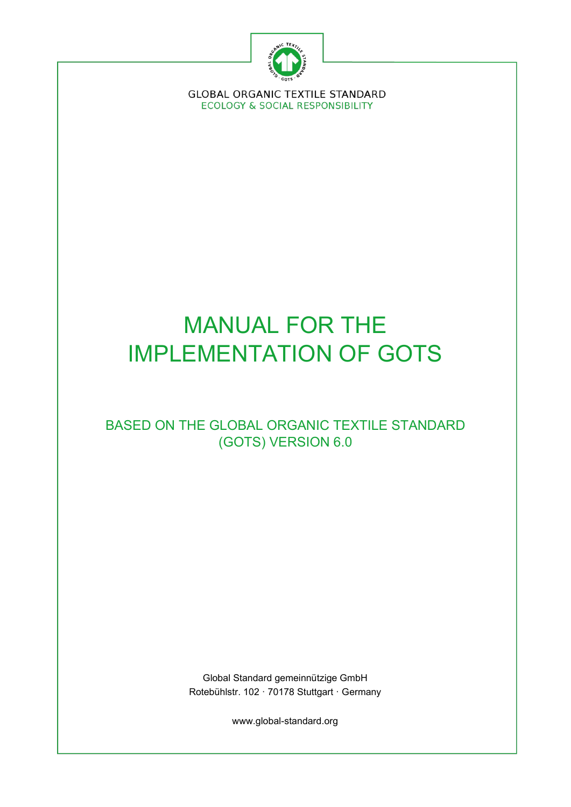

**GLOBAL ORGANIC TEXTILE STANDARD ECOLOGY & SOCIAL RESPONSIBILITY** 

# MANUAL FOR THE IMPLEMENTATION OF GOTS

# BASED ON THE GLOBAL ORGANIC TEXTILE STANDARD (GOTS) VERSION 6.0

Global Standard gemeinnützige GmbH Rotebühlstr. 102 · 70178 Stuttgart · Germany

www.global-standard.org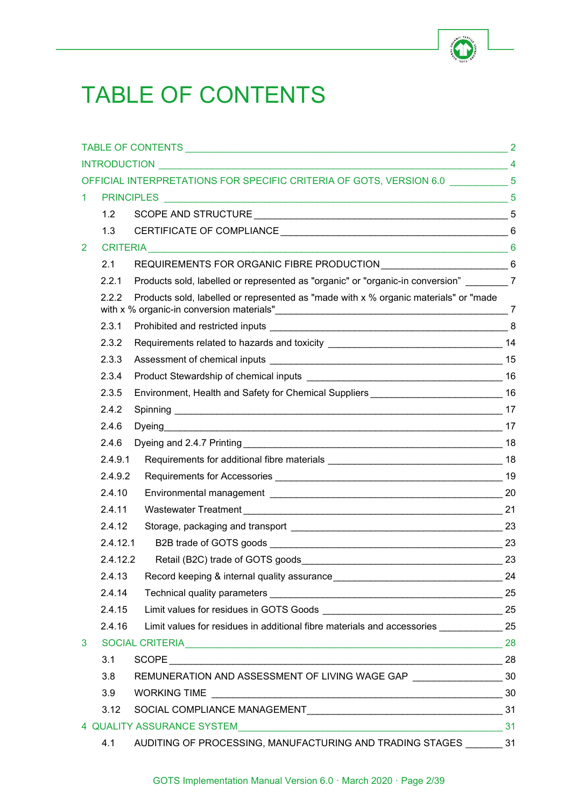

# <span id="page-1-0"></span>TABLE OF CONTENTS

|                |                 |                                                                                            | $\overline{2}$ |
|----------------|-----------------|--------------------------------------------------------------------------------------------|----------------|
|                |                 |                                                                                            |                |
|                |                 | OFFICIAL INTERPRETATIONS FOR SPECIFIC CRITERIA OF GOTS, VERSION 6.0 ___________ 5          |                |
| 1.             |                 |                                                                                            |                |
|                | 1.2             |                                                                                            |                |
|                | 1.3             |                                                                                            |                |
| $\overline{2}$ | <b>CRITERIA</b> | 6                                                                                          |                |
|                | 2.1             |                                                                                            |                |
|                | 2.2.1           | Products sold, labelled or represented as "organic" or "organic-in conversion" _________ 7 |                |
|                | 2.2.2           | Products sold, labelled or represented as "made with x % organic materials" or "made       |                |
|                | 2.3.1           |                                                                                            |                |
|                | 2.3.2           | Requirements related to hazards and toxicity ___________________________________14         |                |
|                | 2.3.3           |                                                                                            |                |
|                | 2.3.4           |                                                                                            |                |
|                | 2.3.5           | Environment, Health and Safety for Chemical Suppliers __________________________16         |                |
|                | 2.4.2           |                                                                                            |                |
|                | 2.4.6           |                                                                                            |                |
|                | 2.4.6           |                                                                                            |                |
|                | 2.4.9.1         |                                                                                            |                |
|                | 2.4.9.2         |                                                                                            |                |
|                | 2.4.10          |                                                                                            |                |
|                | 2.4.11          |                                                                                            |                |
|                | 2.4.12          |                                                                                            |                |
|                | 2.4.12.1        |                                                                                            |                |
|                | 2.4.12.2        |                                                                                            | 23             |
|                | 2.4.13          |                                                                                            |                |
|                | 2.4.14          |                                                                                            |                |
|                | 2.4.15          |                                                                                            |                |
|                | 2.4.16          | Limit values for residues in additional fibre materials and accessories _________ 25       |                |
| 3              |                 |                                                                                            |                |
|                | 3.1             | $SCOPE$ 28                                                                                 |                |
|                | 3.8             | REMUNERATION AND ASSESSMENT OF LIVING WAGE GAP __________________________________ 30       |                |
|                | 3.9             |                                                                                            |                |
|                | 3.12            |                                                                                            |                |
|                |                 | 4 QUALITY ASSURANCE SYSTEM 31                                                              |                |
|                | 4.1             | AUDITING OF PROCESSING, MANUFACTURING AND TRADING STAGES ________ 31                       |                |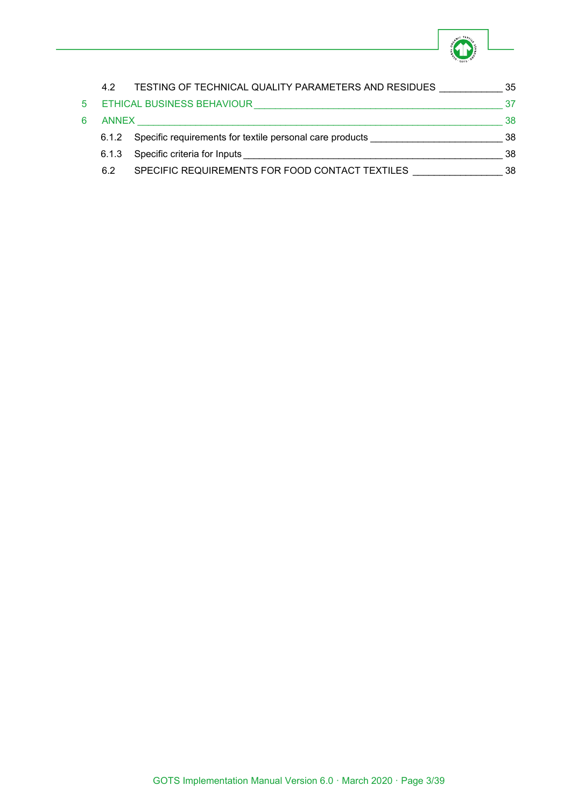

|    | 4.2          | TESTING OF TECHNICAL QUALITY PARAMETERS AND RESIDUES     | 35 |
|----|--------------|----------------------------------------------------------|----|
| 5. |              | ETHICAL BUSINESS BEHAVIOUR                               | 37 |
| 6. | <b>ANNEX</b> |                                                          | 38 |
|    | 6.1.2        | Specific requirements for textile personal care products | 38 |
|    | 6.1.3        | Specific criteria for Inputs                             | 38 |
|    | 6.2          | SPECIFIC REQUIREMENTS FOR FOOD CONTACT TEXTILES          | 38 |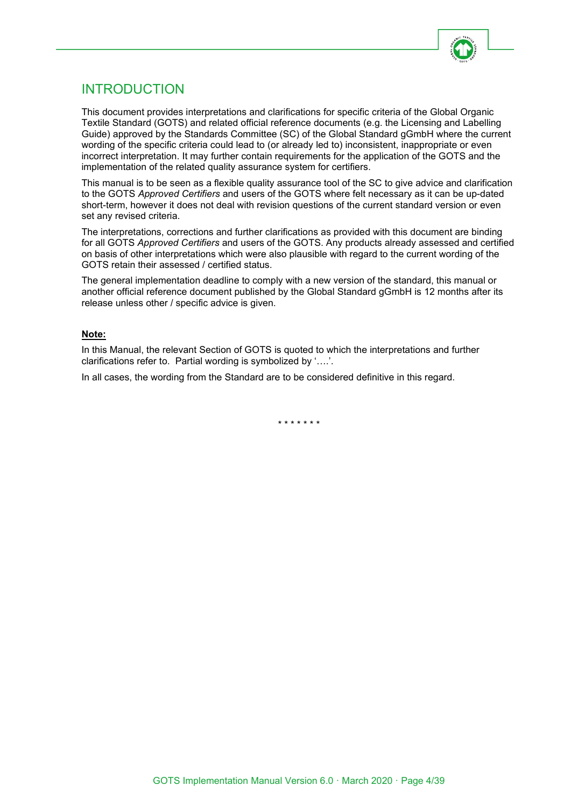

# <span id="page-3-0"></span>INTRODUCTION

This document provides interpretations and clarifications for specific criteria of the Global Organic Textile Standard (GOTS) and related official reference documents (e.g. the Licensing and Labelling Guide) approved by the Standards Committee (SC) of the Global Standard gGmbH where the current wording of the specific criteria could lead to (or already led to) inconsistent, inappropriate or even incorrect interpretation. It may further contain requirements for the application of the GOTS and the implementation of the related quality assurance system for certifiers.

This manual is to be seen as a flexible quality assurance tool of the SC to give advice and clarification to the GOTS *Approved Certifiers* and users of the GOTS where felt necessary as it can be up-dated short-term, however it does not deal with revision questions of the current standard version or even set any revised criteria.

The interpretations, corrections and further clarifications as provided with this document are binding for all GOTS *Approved Certifiers* and users of the GOTS. Any products already assessed and certified on basis of other interpretations which were also plausible with regard to the current wording of the GOTS retain their assessed / certified status.

The general implementation deadline to comply with a new version of the standard, this manual or another official reference document published by the Global Standard gGmbH is 12 months after its release unless other / specific advice is given.

#### **Note:**

In this Manual, the relevant Section of GOTS is quoted to which the interpretations and further clarifications refer to. Partial wording is symbolized by '….'.

In all cases, the wording from the Standard are to be considered definitive in this regard.

\* \* \* \* \* \* \*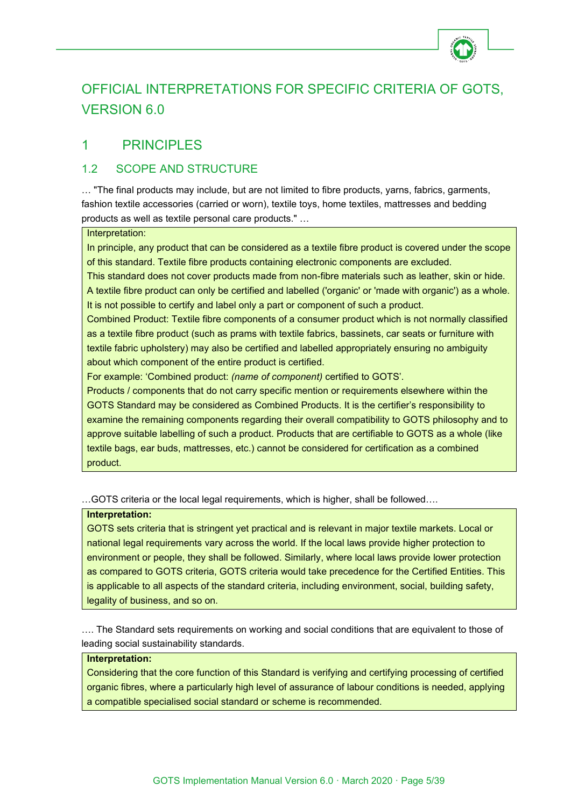

# <span id="page-4-0"></span>OFFICIAL INTERPRETATIONS FOR SPECIFIC CRITERIA OF GOTS, VERSION 6.0

# <span id="page-4-1"></span>1 PRINCIPLES

# <span id="page-4-2"></span>1.2 SCOPE AND STRUCTURE

… "The final products may include, but are not limited to fibre products, yarns, fabrics, garments, fashion textile accessories (carried or worn), textile toys, home textiles, mattresses and bedding products as well as textile personal care products." …

#### Interpretation:

In principle, any product that can be considered as a textile fibre product is covered under the scope of this standard. Textile fibre products containing electronic components are excluded.

This standard does not cover products made from non-fibre materials such as leather, skin or hide. A textile fibre product can only be certified and labelled ('organic' or 'made with organic') as a whole. It is not possible to certify and label only a part or component of such a product.

Combined Product: Textile fibre components of a consumer product which is not normally classified as a textile fibre product (such as prams with textile fabrics, bassinets, car seats or furniture with textile fabric upholstery) may also be certified and labelled appropriately ensuring no ambiguity about which component of the entire product is certified.

For example: 'Combined product: *(name of component)* certified to GOTS'.

Products / components that do not carry specific mention or requirements elsewhere within the GOTS Standard may be considered as Combined Products. It is the certifier's responsibility to examine the remaining components regarding their overall compatibility to GOTS philosophy and to approve suitable labelling of such a product. Products that are certifiable to GOTS as a whole (like textile bags, ear buds, mattresses, etc.) cannot be considered for certification as a combined product.

…GOTS criteria or the local legal requirements, which is higher, shall be followed….

#### **Interpretation:**

GOTS sets criteria that is stringent yet practical and is relevant in major textile markets. Local or national legal requirements vary across the world. If the local laws provide higher protection to environment or people, they shall be followed. Similarly, where local laws provide lower protection as compared to GOTS criteria, GOTS criteria would take precedence for the Certified Entities. This is applicable to all aspects of the standard criteria, including environment, social, building safety, legality of business, and so on.

…. The Standard sets requirements on working and social conditions that are equivalent to those of leading social sustainability standards.

#### **Interpretation:**

Considering that the core function of this Standard is verifying and certifying processing of certified organic fibres, where a particularly high level of assurance of labour conditions is needed, applying a compatible specialised social standard or scheme is recommended.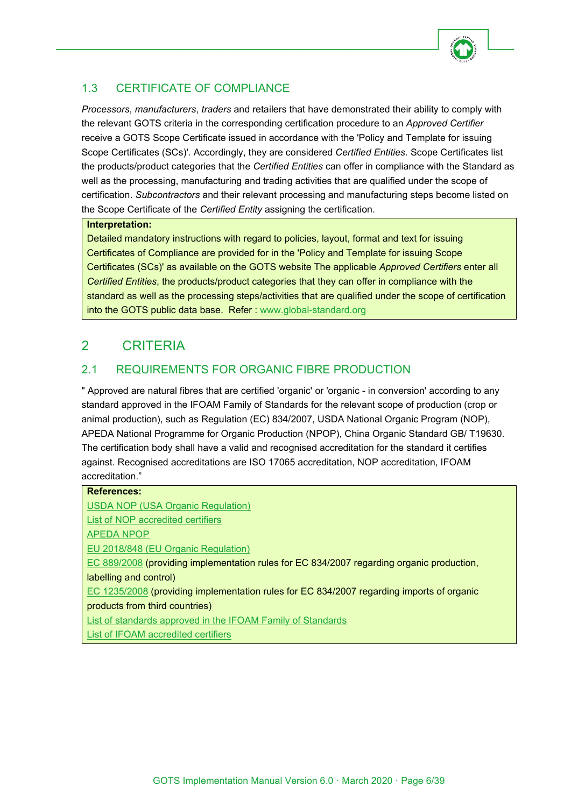

# <span id="page-5-0"></span>1.3 CERTIFICATE OF COMPLIANCE

*Processors*, *manufacturers*, *traders* and retailers that have demonstrated their ability to comply with the relevant GOTS criteria in the corresponding certification procedure to an *Approved Certifier* receive a GOTS Scope Certificate issued in accordance with the 'Policy and Template for issuing Scope Certificates (SCs)'. Accordingly, they are considered *Certified Entities*. Scope Certificates list the products/product categories that the *Certified Entities* can offer in compliance with the Standard as well as the processing, manufacturing and trading activities that are qualified under the scope of certification. *Subcontractors* and their relevant processing and manufacturing steps become listed on the Scope Certificate of the *Certified Entity* assigning the certification.

# **Interpretation:**

Detailed mandatory instructions with regard to policies, layout, format and text for issuing Certificates of Compliance are provided for in the 'Policy and Template for issuing Scope Certificates (SCs)' as available on the GOTS website The applicable *Approved Certifiers* enter all *Certified Entities*, the products/product categories that they can offer in compliance with the standard as well as the processing steps/activities that are qualified under the scope of certification into the GOTS public data base. Refer: [www.global-standard.org](http://www.global-standard.org/)

# <span id="page-5-1"></span>2 CRITERIA

# <span id="page-5-2"></span>2.1 REQUIREMENTS FOR ORGANIC FIBRE PRODUCTION

" Approved are natural fibres that are certified 'organic' or 'organic - in conversion' according to any standard approved in the IFOAM Family of Standards for the relevant scope of production (crop or animal production), such as Regulation (EC) 834/2007, USDA National Organic Program (NOP), APEDA National Programme for Organic Production (NPOP), China Organic Standard GB/ T19630. The certification body shall have a valid and recognised accreditation for the standard it certifies against. Recognised accreditations are ISO 17065 accreditation, NOP accreditation, IFOAM accreditation."

| <b>References:</b>                                                                        |
|-------------------------------------------------------------------------------------------|
| <b>USDA NOP (USA Organic Regulation)</b>                                                  |
| List of NOP accredited certifiers                                                         |
| <b>APEDA NPOP</b>                                                                         |
| EU 2018/848 (EU Organic Regulation)                                                       |
| EC 889/2008 (providing implementation rules for EC 834/2007 regarding organic production, |
| labelling and control)                                                                    |
| EC 1235/2008 (providing implementation rules for EC 834/2007 regarding imports of organic |
| products from third countries)                                                            |
| List of standards approved in the IFOAM Family of Standards                               |
| List of IFOAM accredited certifiers                                                       |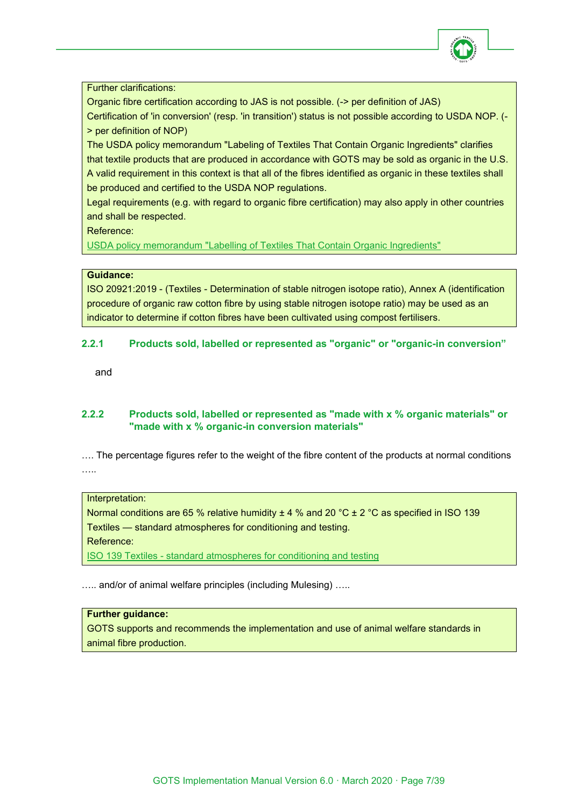

Further clarifications:

Organic fibre certification according to JAS is not possible. (-> per definition of JAS)

Certification of 'in conversion' (resp. 'in transition') status is not possible according to USDA NOP. (- > per definition of NOP)

The USDA policy memorandum "Labeling of Textiles That Contain Organic Ingredients" clarifies that textile products that are produced in accordance with GOTS may be sold as organic in the U.S. A valid requirement in this context is that all of the fibres identified as organic in these textiles shall be produced and certified to the USDA NOP regulations.

Legal requirements (e.g. with regard to organic fibre certification) may also apply in other countries and shall be respected.

Reference:

[USDA policy memorandum "Labelling of Textiles That Contain Organic Ingredients"](http://www.ams.usda.gov/sites/default/files/media/NOP-PM-11-14-LabelingofTextiles.pdf)

#### **Guidance:**

ISO 20921:2019 - (Textiles - Determination of stable nitrogen isotope ratio), Annex A (identification procedure of organic raw cotton fibre by using stable nitrogen isotope ratio) may be used as an indicator to determine if cotton fibres have been cultivated using compost fertilisers.

# <span id="page-6-0"></span>**2.2.1 Products sold, labelled or represented as "organic" or "organic-in conversion"**

and

# <span id="page-6-1"></span>**2.2.2 Products sold, labelled or represented as "made with x % organic materials" or "made with x % organic-in conversion materials"**

…. The percentage figures refer to the weight of the fibre content of the products at normal conditions ….

#### Interpretation:

Normal conditions are 65 % relative humidity  $\pm 4$  % and 20 °C  $\pm 2$  °C as specified in ISO 139 Textiles — standard atmospheres for conditioning and testing. Reference:

ISO 139 Textiles - [standard atmospheres for conditioning and testing](http://www.iso.org/iso/catalogue_detail.htm?csnumber=35179)

….. and/or of animal welfare principles (including Mulesing) …..

# **Further guidance:**

GOTS supports and recommends the implementation and use of animal welfare standards in animal fibre production.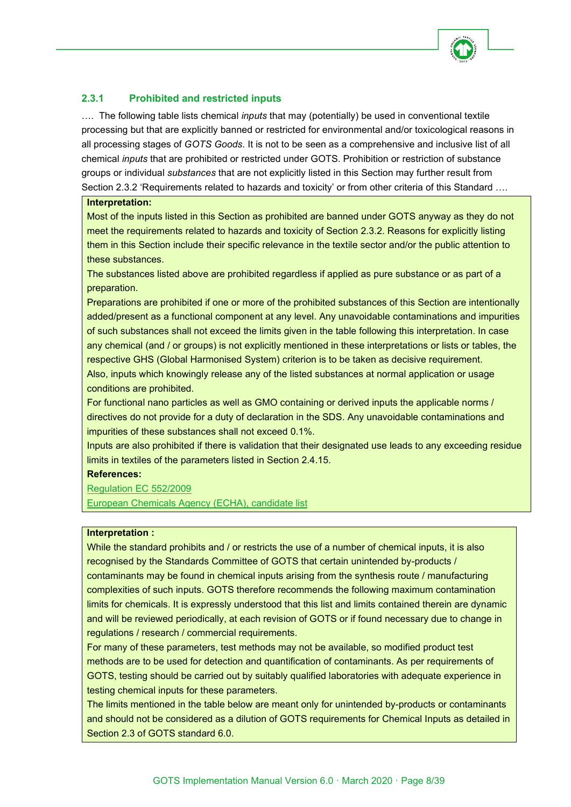

# <span id="page-7-0"></span>**2.3.1 Prohibited and restricted inputs**

…. The following table lists chemical *inputs* that may (potentially) be used in conventional textile processing but that are explicitly banned or restricted for environmental and/or toxicological reasons in all processing stages of *GOTS Goods*. It is not to be seen as a comprehensive and inclusive list of all chemical *inputs* that are prohibited or restricted under GOTS. Prohibition or restriction of substance groups or individual *substances* that are not explicitly listed in this Section may further result from Section 2.3.2 'Requirements related to hazards and toxicity' or from other criteria of this Standard ....

#### **Interpretation:**

Most of the inputs listed in this Section as prohibited are banned under GOTS anyway as they do not meet the requirements related to hazards and toxicity of Section 2.3.2. Reasons for explicitly listing them in this Section include their specific relevance in the textile sector and/or the public attention to these substances.

The substances listed above are prohibited regardless if applied as pure substance or as part of a preparation.

Preparations are prohibited if one or more of the prohibited substances of this Section are intentionally added/present as a functional component at any level. Any unavoidable contaminations and impurities of such substances shall not exceed the limits given in the table following this interpretation. In case any chemical (and / or groups) is not explicitly mentioned in these interpretations or lists or tables, the respective GHS (Global Harmonised System) criterion is to be taken as decisive requirement. Also, inputs which knowingly release any of the listed substances at normal application or usage conditions are prohibited.

For functional nano particles as well as GMO containing or derived inputs the applicable norms / directives do not provide for a duty of declaration in the SDS. Any unavoidable contaminations and impurities of these substances shall not exceed 0.1%.

Inputs are also prohibited if there is validation that their designated use leads to any exceeding residue limits in textiles of the parameters listed in Section 2.4.15.

#### **References:**

[Regulation EC 552/2009](http://eur-lex.europa.eu/legal-content/EN/TXT/?uri=celex%3A32009R0552) [European Chemicals Agency \(ECHA\), candidate list](https://echa.europa.eu/candidate-list-table)

#### **Interpretation :**

While the standard prohibits and / or restricts the use of a number of chemical inputs, it is also recognised by the Standards Committee of GOTS that certain unintended by-products / contaminants may be found in chemical inputs arising from the synthesis route / manufacturing complexities of such inputs. GOTS therefore recommends the following maximum contamination limits for chemicals. It is expressly understood that this list and limits contained therein are dynamic and will be reviewed periodically, at each revision of GOTS or if found necessary due to change in regulations / research / commercial requirements.

For many of these parameters, test methods may not be available, so modified product test methods are to be used for detection and quantification of contaminants. As per requirements of GOTS, testing should be carried out by suitably qualified laboratories with adequate experience in testing chemical inputs for these parameters.

The limits mentioned in the table below are meant only for unintended by-products or contaminants and should not be considered as a dilution of GOTS requirements for Chemical Inputs as detailed in Section 2.3 of GOTS standard 6.0.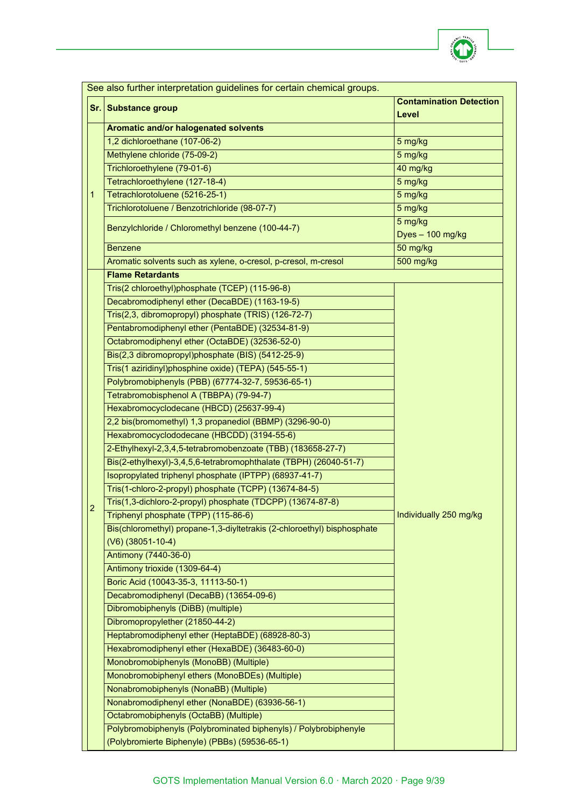

|   | See also further interpretation guidelines for certain chemical groups.                        |                                         |  |
|---|------------------------------------------------------------------------------------------------|-----------------------------------------|--|
|   | Sr. Substance group                                                                            | <b>Contamination Detection</b><br>Level |  |
|   | Aromatic and/or halogenated solvents                                                           |                                         |  |
|   | 1,2 dichloroethane (107-06-2)                                                                  | 5 mg/kg                                 |  |
|   | Methylene chloride (75-09-2)                                                                   | 5 mg/kg                                 |  |
|   | Trichloroethylene (79-01-6)                                                                    | 40 mg/kg                                |  |
|   | Tetrachloroethylene (127-18-4)                                                                 | 5 mg/kg                                 |  |
| 1 | Tetrachlorotoluene (5216-25-1)                                                                 | 5 mg/kg                                 |  |
|   | Trichlorotoluene / Benzotrichloride (98-07-7)                                                  | 5 mg/kg                                 |  |
|   | Benzylchloride / Chloromethyl benzene (100-44-7)                                               | 5 mg/kg<br>Dyes - 100 mg/kg             |  |
|   | <b>Benzene</b>                                                                                 | 50 mg/kg                                |  |
|   | Aromatic solvents such as xylene, o-cresol, p-cresol, m-cresol                                 | 500 mg/kg                               |  |
|   | <b>Flame Retardants</b>                                                                        |                                         |  |
|   | Tris(2 chloroethyl)phosphate (TCEP) (115-96-8)                                                 |                                         |  |
|   | Decabromodiphenyl ether (DecaBDE) (1163-19-5)                                                  |                                         |  |
|   | Tris(2,3, dibromopropyl) phosphate (TRIS) (126-72-7)                                           |                                         |  |
|   | Pentabromodiphenyl ether (PentaBDE) (32534-81-9)                                               |                                         |  |
|   | Octabromodiphenyl ether (OctaBDE) (32536-52-0)                                                 |                                         |  |
|   | Bis(2,3 dibromopropyl)phosphate (BIS) (5412-25-9)                                              |                                         |  |
|   | Tris(1 aziridinyl)phosphine oxide) (TEPA) (545-55-1)                                           |                                         |  |
|   | Polybromobiphenyls (PBB) (67774-32-7, 59536-65-1)                                              |                                         |  |
|   | Tetrabromobisphenol A (TBBPA) (79-94-7)                                                        |                                         |  |
|   | Hexabromocyclodecane (HBCD) (25637-99-4)                                                       |                                         |  |
|   | 2,2 bis(bromomethyl) 1,3 propanediol (BBMP) (3296-90-0)                                        |                                         |  |
|   | Hexabromocyclododecane (HBCDD) (3194-55-6)                                                     |                                         |  |
|   | 2-Ethylhexyl-2,3,4,5-tetrabromobenzoate (TBB) (183658-27-7)                                    |                                         |  |
|   | Bis(2-ethylhexyl)-3,4,5,6-tetrabromophthalate (TBPH) (26040-51-7)                              |                                         |  |
|   | Isopropylated triphenyl phosphate (IPTPP) (68937-41-7)                                         |                                         |  |
|   | Tris(1-chloro-2-propyl) phosphate (TCPP) (13674-84-5)                                          |                                         |  |
| 2 | Tris(1,3-dichloro-2-propyl) phosphate (TDCPP) (13674-87-8)                                     |                                         |  |
|   | Triphenyl phosphate (TPP) (115-86-6)                                                           | Individually 250 mg/kg                  |  |
|   | Bis(chloromethyl) propane-1,3-diyltetrakis (2-chloroethyl) bisphosphate<br>$(V6)$ (38051-10-4) |                                         |  |
|   | Antimony (7440-36-0)                                                                           |                                         |  |
|   | Antimony trioxide (1309-64-4)                                                                  |                                         |  |
|   | Boric Acid (10043-35-3, 11113-50-1)                                                            |                                         |  |
|   | Decabromodiphenyl (DecaBB) (13654-09-6)                                                        |                                         |  |
|   | Dibromobiphenyls (DiBB) (multiple)                                                             |                                         |  |
|   | Dibromopropylether (21850-44-2)                                                                |                                         |  |
|   | Heptabromodiphenyl ether (HeptaBDE) (68928-80-3)                                               |                                         |  |
|   | Hexabromodiphenyl ether (HexaBDE) (36483-60-0)                                                 |                                         |  |
|   | Monobromobiphenyls (MonoBB) (Multiple)                                                         |                                         |  |
|   | Monobromobiphenyl ethers (MonoBDEs) (Multiple)                                                 |                                         |  |
|   | Nonabromobiphenyls (NonaBB) (Multiple)                                                         |                                         |  |
|   | Nonabromodiphenyl ether (NonaBDE) (63936-56-1)                                                 |                                         |  |
|   | Octabromobiphenyls (OctaBB) (Multiple)                                                         |                                         |  |
|   | Polybromobiphenyls (Polybrominated biphenyls) / Polybrobiphenyle                               |                                         |  |
|   | (Polybromierte Biphenyle) (PBBs) (59536-65-1)                                                  |                                         |  |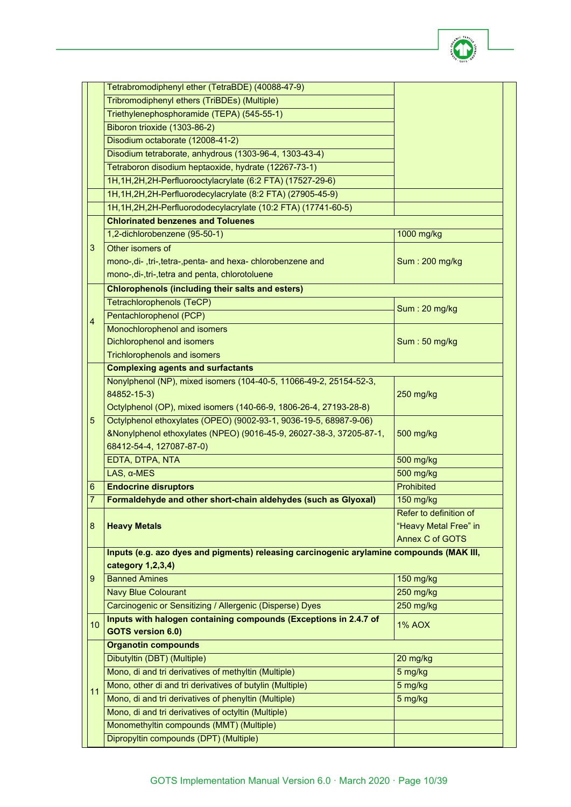

|                | Tetrabromodiphenyl ether (TetraBDE) (40088-47-9)                                         |                        |
|----------------|------------------------------------------------------------------------------------------|------------------------|
|                | Tribromodiphenyl ethers (TriBDEs) (Multiple)                                             |                        |
|                | Triethylenephosphoramide (TEPA) (545-55-1)                                               |                        |
|                | Biboron trioxide (1303-86-2)                                                             |                        |
|                | Disodium octaborate (12008-41-2)                                                         |                        |
|                | Disodium tetraborate, anhydrous (1303-96-4, 1303-43-4)                                   |                        |
|                | Tetraboron disodium heptaoxide, hydrate (12267-73-1)                                     |                        |
|                | 1H, 1H, 2H, 2H-Perfluorooctylacrylate (6:2 FTA) (17527-29-6)                             |                        |
|                | 1H, 1H, 2H, 2H-Perfluorodecylacrylate (8:2 FTA) (27905-45-9)                             |                        |
|                | 1H, 1H, 2H, 2H-Perfluorododecylacrylate (10:2 FTA) (17741-60-5)                          |                        |
|                | <b>Chlorinated benzenes and Toluenes</b>                                                 |                        |
|                | 1,2-dichlorobenzene (95-50-1)                                                            | 1000 mg/kg             |
| $\sqrt{3}$     | Other isomers of                                                                         |                        |
|                | mono-,di-,tri-,tetra-,penta- and hexa- chlorobenzene and                                 | Sum: 200 mg/kg         |
|                | mono-, di-, tri-, tetra and penta, chlorotoluene                                         |                        |
|                | <b>Chlorophenols (including their salts and esters)</b>                                  |                        |
|                | Tetrachlorophenols (TeCP)                                                                |                        |
|                | Pentachlorophenol (PCP)                                                                  | Sum: 20 mg/kg          |
| 4              | Monochlorophenol and isomers                                                             |                        |
|                | <b>Dichlorophenol and isomers</b>                                                        | Sum: 50 mg/kg          |
|                | <b>Trichlorophenols and isomers</b>                                                      |                        |
|                | <b>Complexing agents and surfactants</b>                                                 |                        |
|                | Nonylphenol (NP), mixed isomers (104-40-5, 11066-49-2, 25154-52-3,                       |                        |
|                | 84852-15-3)                                                                              | 250 mg/kg              |
|                | Octylphenol (OP), mixed isomers (140-66-9, 1806-26-4, 27193-28-8)                        |                        |
| 5              | Octylphenol ethoxylates (OPEO) (9002-93-1, 9036-19-5, 68987-9-06)                        |                        |
|                | &Nonylphenol ethoxylates (NPEO) (9016-45-9, 26027-38-3, 37205-87-1,                      | 500 mg/kg              |
|                | 68412-54-4, 127087-87-0)                                                                 |                        |
|                | EDTA, DTPA, NTA                                                                          | 500 mg/kg              |
|                | $LAS, \alpha$ -MES                                                                       | 500 mg/kg              |
| 6              | <b>Endocrine disruptors</b>                                                              | Prohibited             |
| $\overline{7}$ | Formaldehyde and other short-chain aldehydes (such as Glyoxal)                           | 150 mg/kg              |
|                |                                                                                          | Refer to definition of |
| $\bf 8$        | <b>Heavy Metals</b>                                                                      | "Heavy Metal Free" in  |
|                |                                                                                          | <b>Annex C of GOTS</b> |
|                | Inputs (e.g. azo dyes and pigments) releasing carcinogenic arylamine compounds (MAK III, |                        |
|                | category 1,2,3,4)                                                                        |                        |
| 9              | <b>Banned Amines</b>                                                                     | 150 mg/kg              |
|                | <b>Navy Blue Colourant</b>                                                               | 250 mg/kg              |
|                | Carcinogenic or Sensitizing / Allergenic (Disperse) Dyes                                 | 250 mg/kg              |
|                | Inputs with halogen containing compounds (Exceptions in 2.4.7 of                         |                        |
| 10             | <b>GOTS version 6.0)</b>                                                                 | <b>1% AOX</b>          |
|                | <b>Organotin compounds</b>                                                               |                        |
|                | Dibutyltin (DBT) (Multiple)                                                              | 20 mg/kg               |
|                | Mono, di and tri derivatives of methyltin (Multiple)                                     | 5 mg/kg                |
|                | Mono, other di and tri derivatives of butylin (Multiple)                                 | 5 mg/kg                |
| 11             | Mono, di and tri derivatives of phenyltin (Multiple)                                     | 5 mg/kg                |
|                | Mono, di and tri derivatives of octyltin (Multiple)                                      |                        |
|                | Monomethyltin compounds (MMT) (Multiple)                                                 |                        |
|                | Dipropyltin compounds (DPT) (Multiple)                                                   |                        |
|                |                                                                                          |                        |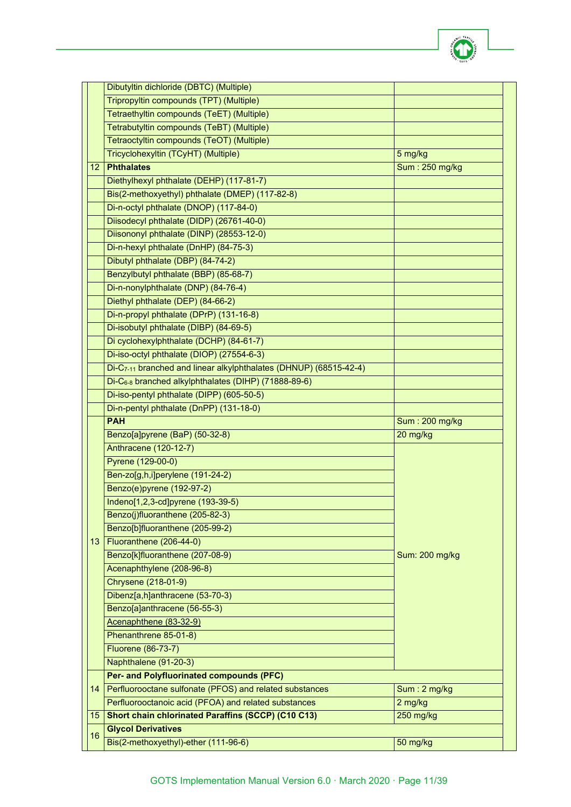

|    | Dibutyltin dichloride (DBTC) (Multiple)                                                             |                        |
|----|-----------------------------------------------------------------------------------------------------|------------------------|
|    | Tripropyltin compounds (TPT) (Multiple)                                                             |                        |
|    | Tetraethyltin compounds (TeET) (Multiple)                                                           |                        |
|    | Tetrabutyltin compounds (TeBT) (Multiple)                                                           |                        |
|    | Tetraoctyltin compounds (TeOT) (Multiple)                                                           |                        |
|    | Tricyclohexyltin (TCyHT) (Multiple)                                                                 | 5 mg/kg                |
| 12 | <b>Phthalates</b>                                                                                   | Sum: 250 mg/kg         |
|    | Diethylhexyl phthalate (DEHP) (117-81-7)                                                            |                        |
|    | Bis(2-methoxyethyl) phthalate (DMEP) (117-82-8)                                                     |                        |
|    | Di-n-octyl phthalate (DNOP) (117-84-0)                                                              |                        |
|    | Diisodecyl phthalate (DIDP) (26761-40-0)                                                            |                        |
|    | Diisononyl phthalate (DINP) (28553-12-0)                                                            |                        |
|    | Di-n-hexyl phthalate (DnHP) (84-75-3)                                                               |                        |
|    | Dibutyl phthalate (DBP) (84-74-2)                                                                   |                        |
|    | Benzylbutyl phthalate (BBP) (85-68-7)                                                               |                        |
|    | Di-n-nonylphthalate (DNP) (84-76-4)                                                                 |                        |
|    | Diethyl phthalate (DEP) (84-66-2)                                                                   |                        |
|    | Di-n-propyl phthalate (DPrP) (131-16-8)                                                             |                        |
|    | Di-isobutyl phthalate (DIBP) (84-69-5)                                                              |                        |
|    | Di cyclohexylphthalate (DCHP) (84-61-7)                                                             |                        |
|    | Di-iso-octyl phthalate (DIOP) (27554-6-3)                                                           |                        |
|    | Di-C <sub>7-11</sub> branched and linear alkylphthalates (DHNUP) (68515-42-4)                       |                        |
|    | Di-C6-8 branched alkylphthalates (DIHP) (71888-89-6)                                                |                        |
|    | Di-iso-pentyl phthalate (DIPP) (605-50-5)                                                           |                        |
|    | Di-n-pentyl phthalate (DnPP) (131-18-0)                                                             |                        |
|    | <b>PAH</b>                                                                                          | <b>Sum: 200 mg/kg</b>  |
|    |                                                                                                     |                        |
|    | Benzo[a]pyrene (BaP) (50-32-8)                                                                      | 20 mg/kg               |
|    | Anthracene (120-12-7)                                                                               |                        |
|    | Pyrene (129-00-0)                                                                                   |                        |
|    | Ben-zo[g,h,i]perylene (191-24-2)                                                                    |                        |
|    | Benzo(e)pyrene (192-97-2)                                                                           |                        |
|    | Indeno[1,2,3-cd]pyrene (193-39-5)                                                                   |                        |
|    | Benzo(j)fluoranthene (205-82-3)                                                                     |                        |
|    | Benzo[b]fluoranthene (205-99-2)                                                                     |                        |
| 13 | Fluoranthene (206-44-0)                                                                             |                        |
|    | Benzo[k]fluoranthene (207-08-9)                                                                     | Sum: 200 mg/kg         |
|    | Acenaphthylene (208-96-8)                                                                           |                        |
|    | Chrysene (218-01-9)                                                                                 |                        |
|    | Dibenz[a,h]anthracene (53-70-3)                                                                     |                        |
|    | Benzo[a]anthracene (56-55-3)                                                                        |                        |
|    | Acenaphthene (83-32-9)                                                                              |                        |
|    | Phenanthrene 85-01-8)                                                                               |                        |
|    |                                                                                                     |                        |
|    | Fluorene (86-73-7)<br>Naphthalene (91-20-3)                                                         |                        |
|    |                                                                                                     |                        |
| 14 | Per- and Polyfluorinated compounds (PFC)<br>Perfluorooctane sulfonate (PFOS) and related substances |                        |
|    | Perfluorooctanoic acid (PFOA) and related substances                                                | Sum: 2 mg/kg           |
| 15 |                                                                                                     | 2 mg/kg<br>$250$ mg/kg |
|    | <b>Short chain chlorinated Paraffins (SCCP) (C10 C13)</b><br><b>Glycol Derivatives</b>              |                        |
| 16 | Bis(2-methoxyethyl)-ether (111-96-6)                                                                | 50 mg/kg               |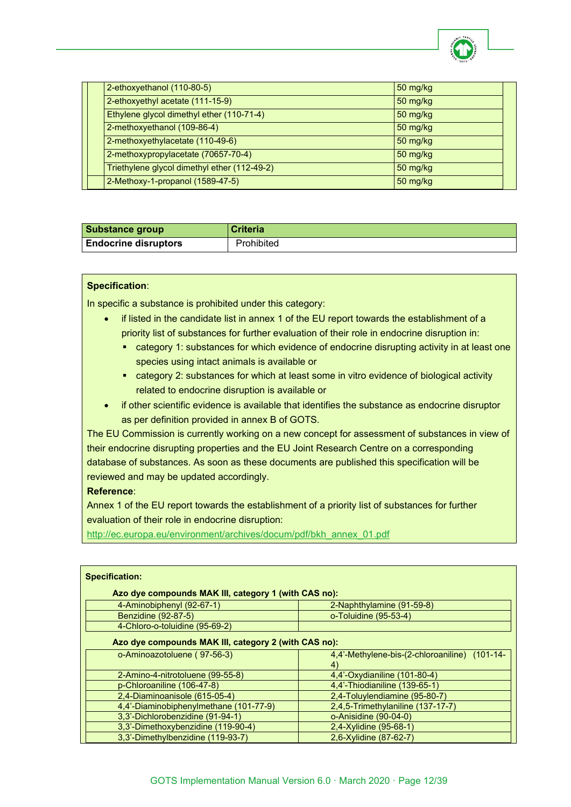

|  | 2-ethoxyethanol (110-80-5)                   | $50$ mg/kg |  |
|--|----------------------------------------------|------------|--|
|  | 2-ethoxyethyl acetate (111-15-9)             | $50$ mg/kg |  |
|  | Ethylene glycol dimethyl ether (110-71-4)    | $50$ mg/kg |  |
|  | 2-methoxyethanol (109-86-4)                  | 50 mg/kg   |  |
|  | 2-methoxyethylacetate (110-49-6)             | $50$ mg/kg |  |
|  | 2-methoxypropylacetate (70657-70-4)          | 50 mg/kg   |  |
|  | Triethylene glycol dimethyl ether (112-49-2) | $50$ mg/kg |  |
|  | 2-Methoxy-1-propanol (1589-47-5)             | 50 mg/kg   |  |

| <b>Substance group</b>      | <b>Criteria</b> |
|-----------------------------|-----------------|
| <b>Endocrine disruptors</b> | Prohibited      |

#### **Specification**:

In specific a substance is prohibited under this category:

- if listed in the candidate list in annex 1 of the EU report towards the establishment of a priority list of substances for further evaluation of their role in endocrine disruption in:
	- category 1: substances for which evidence of endocrine disrupting activity in at least one species using intact animals is available or
	- category 2: substances for which at least some in vitro evidence of biological activity related to endocrine disruption is available or
- if other scientific evidence is available that identifies the substance as endocrine disruptor as per definition provided in annex B of GOTS.

The EU Commission is currently working on a new concept for assessment of substances in view of their endocrine disrupting properties and the EU Joint Research Centre on a corresponding database of substances. As soon as these documents are published this specification will be reviewed and may be updated accordingly.

#### **Reference**:

Annex 1 of the EU report towards the establishment of a priority list of substances for further evaluation of their role in endocrine disruption:

[http://ec.europa.eu/environment/archives/docum/pdf/bkh\\_annex\\_01.pdf](http://ec.europa.eu/environment/archives/docum/pdf/bkh_annex_01.pdf)

| <b>Specification:</b>                                |                                                      |  |
|------------------------------------------------------|------------------------------------------------------|--|
| Azo dye compounds MAK III, category 1 (with CAS no): |                                                      |  |
| 4-Aminobiphenyl (92-67-1)                            | 2-Naphthylamine (91-59-8)                            |  |
| Benzidine (92-87-5)                                  | o-Toluidine (95-53-4)                                |  |
| 4-Chloro-o-toluidine (95-69-2)                       |                                                      |  |
| Azo dye compounds MAK III, category 2 (with CAS no): |                                                      |  |
| o-Aminoazotoluene (97-56-3)                          | 4,4'-Methylene-bis-(2-chloroaniline) (101-14-<br>(4) |  |
| 2-Amino-4-nitrotoluene (99-55-8)                     | 4,4'-Oxydianiline (101-80-4)                         |  |
| p-Chloroaniline (106-47-8)                           | 4,4'-Thiodianiline (139-65-1)                        |  |
| 2,4-Diaminoanisole (615-05-4)                        | 2,4-Toluylendiamine (95-80-7)                        |  |
| 4,4'-Diaminobiphenylmethane (101-77-9)               | 2,4,5-Trimethylaniline (137-17-7)                    |  |
| 3,3'-Dichlorobenzidine (91-94-1)                     | o-Anisidine (90-04-0)                                |  |
| 3,3'-Dimethoxybenzidine (119-90-4)                   | 2,4-Xylidine (95-68-1)                               |  |
| 3,3'-Dimethylbenzidine (119-93-7)                    | 2,6-Xylidine (87-62-7)                               |  |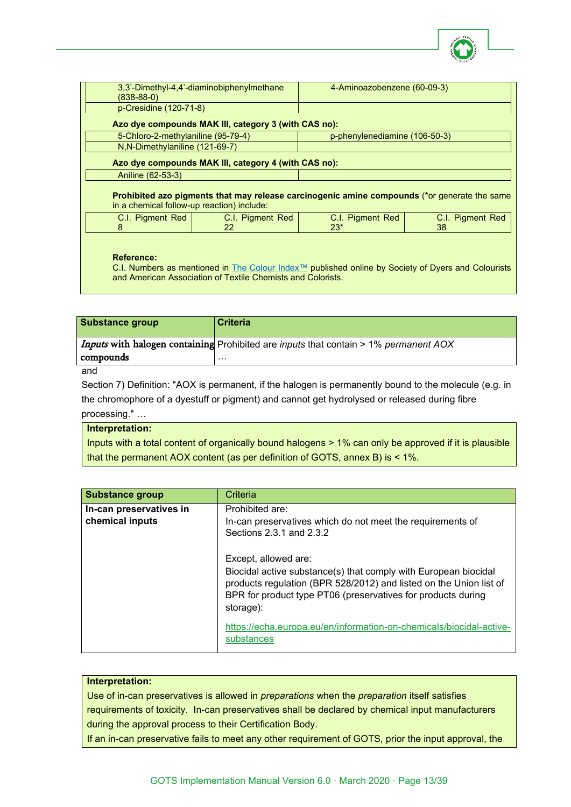

| (838-88-0)                                                                                                                                        | 3.3'-Dimethyl-4.4'-diaminobiphenylmethane            | 4-Aminoazobenzene (60-09-3)   |                  |
|---------------------------------------------------------------------------------------------------------------------------------------------------|------------------------------------------------------|-------------------------------|------------------|
| p-Cresidine (120-71-8)                                                                                                                            |                                                      |                               |                  |
|                                                                                                                                                   | Azo dye compounds MAK III, category 3 (with CAS no): |                               |                  |
| 5-Chloro-2-methylaniline (95-79-4)                                                                                                                |                                                      | p-phenylenediamine (106-50-3) |                  |
| N, N-Dimethylaniline (121-69-7)                                                                                                                   |                                                      |                               |                  |
|                                                                                                                                                   | Azo dye compounds MAK III, category 4 (with CAS no): |                               |                  |
| Aniline (62-53-3)                                                                                                                                 |                                                      |                               |                  |
| <b>Prohibited azo pigments that may release carcinogenic amine compounds</b> (*or generate the same<br>in a chemical follow-up reaction) include: |                                                      |                               |                  |
| C.I. Pigment Red                                                                                                                                  | C.I. Pigment Red                                     | C.I. Pigment Red              | C.I. Pigment Red |
| 8                                                                                                                                                 | 22                                                   | $23*$                         | 38               |

#### **Reference:**

C.I. Numbers as mentioned in [The Colour Index™](https://colour-index.com/) published online by Society of Dyers and Colourists and American Association of Textile Chemists and Colorists.

| <i>Inputs</i> with halogen containing Prohibited are <i>inputs</i> that contain > 1% permanent AOX | Substance group | <b>Criteria</b> |
|----------------------------------------------------------------------------------------------------|-----------------|-----------------|
|                                                                                                    |                 |                 |
| .                                                                                                  | compounds       |                 |

and

Section 7) Definition: "AOX is permanent, if the halogen is permanently bound to the molecule (e.g. in the chromophore of a dyestuff or pigment) and cannot get hydrolysed or released during fibre processing." …

#### **Interpretation:**

Inputs with a total content of organically bound halogens > 1% can only be approved if it is plausible that the permanent AOX content (as per definition of GOTS, annex B) is < 1%.

| <b>Substance group</b>                     | Criteria                                                                                                                                                                                                                                   |
|--------------------------------------------|--------------------------------------------------------------------------------------------------------------------------------------------------------------------------------------------------------------------------------------------|
| In-can preservatives in<br>chemical inputs | Prohibited are:<br>In-can preservatives which do not meet the requirements of<br>Sections 2.3.1 and 2.3.2                                                                                                                                  |
|                                            | Except, allowed are:<br>Biocidal active substance(s) that comply with European biocidal<br>products regulation (BPR 528/2012) and listed on the Union list of<br>BPR for product type PT06 (preservatives for products during<br>storage): |
|                                            | https://echa.europa.eu/en/information-on-chemicals/biocidal-active-<br>substances                                                                                                                                                          |

#### **Interpretation:**

Use of in-can preservatives is allowed in *preparations* when the *preparation* itself satisfies requirements of toxicity. In-can preservatives shall be declared by chemical input manufacturers during the approval process to their Certification Body.

If an in-can preservative fails to meet any other requirement of GOTS, prior the input approval, the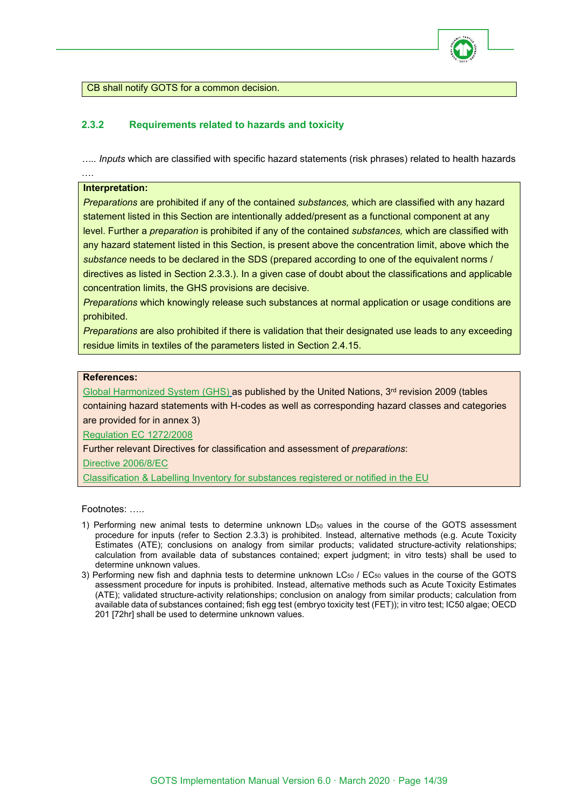

CB shall notify GOTS for a common decision.

# <span id="page-13-0"></span>**2.3.2 Requirements related to hazards and toxicity**

*….. Inputs* which are classified with specific hazard statements (risk phrases) related to health hazards

#### **Interpretation:**

….

*Preparations* are prohibited if any of the contained *substances,* which are classified with any hazard statement listed in this Section are intentionally added/present as a functional component at any level. Further a *preparation* is prohibited if any of the contained *substances,* which are classified with any hazard statement listed in this Section, is present above the concentration limit, above which the *substance* needs to be declared in the SDS (prepared according to one of the equivalent norms / directives as listed in Section 2.3.3.). In a given case of doubt about the classifications and applicable concentration limits, the GHS provisions are decisive.

*Preparations* which knowingly release such substances at normal application or usage conditions are prohibited.

*Preparations* are also prohibited if there is validation that their designated use leads to any exceeding residue limits in textiles of the parameters listed in Section 2.4.15.

#### **References:**

[Global Harmonized System \(GHS\)](http://www.unece.org/trans/danger/publi/ghs/ghs_rev03/03files_e.html) as published by the United Nations, 3rd revision 2009 (tables containing hazard statements with H-codes as well as corresponding hazard classes and categories are provided for in annex 3)

[Regulation EC 1272/2008](http://eur-lex.europa.eu/Notice.do?pos=4&hwords=1272%2F2008%7E&page=1&lang=en&pgs=10&nbl=6&list=516252:cs,500326:cs,485811:cs,486098:cs,485673:cs,496044:cs)

Further relevant Directives for classification and assessment of *preparations*:

Directive [2006/8/EC](http://eur-lex.europa.eu/LexUriServ/LexUriServ.do?uri=CELEX:32006L0008:en:NOT)

[Classification & Labelling Inventory for substances registered or notified in the EU](http://echa.europa.eu/web/guest/information-on-chemicals/cl-inventory-database)

Footnotes: …..

- 1) Performing new animal tests to determine unknown  $LD_{50}$  values in the course of the GOTS assessment procedure for inputs (refer to Section 2.3.3) is prohibited. Instead, alternative methods (e.g. Acute Toxicity Estimates (ATE); conclusions on analogy from similar products; validated structure-activity relationships; calculation from available data of substances contained; expert judgment; in vitro tests) shall be used to determine unknown values.
- 3) Performing new fish and daphnia tests to determine unknown  $LC_{50}$  /  $EC_{50}$  values in the course of the GOTS assessment procedure for inputs is prohibited. Instead, alternative methods such as Acute Toxicity Estimates (ATE); validated structure-activity relationships; conclusion on analogy from similar products; calculation from available data of substances contained; fish egg test (embryo toxicity test (FET)); in vitro test; IC50 algae; OECD 201 [72hr] shall be used to determine unknown values.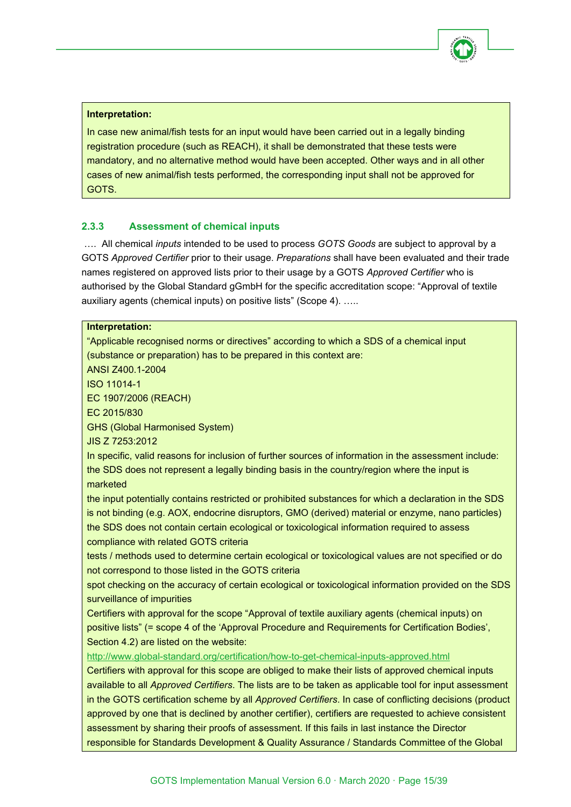

# **Interpretation:**

In case new animal/fish tests for an input would have been carried out in a legally binding registration procedure (such as REACH), it shall be demonstrated that these tests were mandatory, and no alternative method would have been accepted. Other ways and in all other cases of new animal/fish tests performed, the corresponding input shall not be approved for GOTS.

# <span id="page-14-0"></span>**2.3.3 Assessment of chemical inputs**

…. All chemical *inputs* intended to be used to process *GOTS Goods* are subject to approval by a GOTS *Approved Certifier* prior to their usage. *Preparations* shall have been evaluated and their trade names registered on approved lists prior to their usage by a GOTS *Approved Certifier* who is authorised by the Global Standard gGmbH for the specific accreditation scope: "Approval of textile auxiliary agents (chemical inputs) on positive lists" (Scope 4). …..

# **Interpretation:** "Applicable recognised norms or directives" according to which a SDS of a chemical input (substance or preparation) has to be prepared in this context are: ANSI Z400.1-2004 ISO 11014-1 EC 1907/2006 (REACH) EC 2015/830 GHS (Global Harmonised System) JIS Z 7253:2012 In specific, valid reasons for inclusion of further sources of information in the assessment include: the SDS does not represent a legally binding basis in the country/region where the input is marketed the input potentially contains restricted or prohibited substances for which a declaration in the SDS is not binding (e.g. AOX, endocrine disruptors, GMO (derived) material or enzyme, nano particles) the SDS does not contain certain ecological or toxicological information required to assess compliance with related GOTS criteria tests / methods used to determine certain ecological or toxicological values are not specified or do not correspond to those listed in the GOTS criteria spot checking on the accuracy of certain ecological or toxicological information provided on the SDS surveillance of impurities Certifiers with approval for the scope "Approval of textile auxiliary agents (chemical inputs) on positive lists" (= scope 4 of the 'Approval Procedure and Requirements for Certification Bodies', Section 4.2) are listed on the website: <http://www.global-standard.org/certification/how-to-get-chemical-inputs-approved.html> Certifiers with approval for this scope are obliged to make their lists of approved chemical inputs available to all *Approved Certifiers*. The lists are to be taken as applicable tool for input assessment in the GOTS certification scheme by all *Approved Certifiers*. In case of conflicting decisions (product approved by one that is declined by another certifier), certifiers are requested to achieve consistent assessment by sharing their proofs of assessment. If this fails in last instance the Director responsible for Standards Development & Quality Assurance / Standards Committee of the Global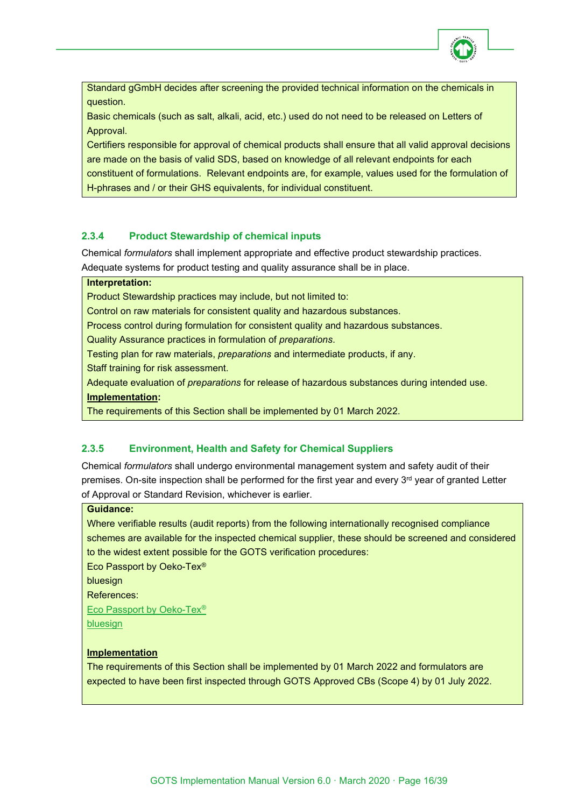

Standard gGmbH decides after screening the provided technical information on the chemicals in question.

Basic chemicals (such as salt, alkali, acid, etc.) used do not need to be released on Letters of Approval.

Certifiers responsible for approval of chemical products shall ensure that all valid approval decisions are made on the basis of valid SDS, based on knowledge of all relevant endpoints for each constituent of formulations. Relevant endpoints are, for example, values used for the formulation of H-phrases and / or their GHS equivalents, for individual constituent.

# <span id="page-15-0"></span>**2.3.4 Product Stewardship of chemical inputs**

Chemical *formulators* shall implement appropriate and effective product stewardship practices. Adequate systems for product testing and quality assurance shall be in place.

#### **Interpretation:**

Product Stewardship practices may include, but not limited to:

Control on raw materials for consistent quality and hazardous substances.

Process control during formulation for consistent quality and hazardous substances.

Quality Assurance practices in formulation of *preparations*.

Testing plan for raw materials, *preparations* and intermediate products, if any.

Staff training for risk assessment.

Adequate evaluation of *preparations* for release of hazardous substances during intended use.

#### **Implementation:**

The requirements of this Section shall be implemented by 01 March 2022.

# <span id="page-15-1"></span>**2.3.5 Environment, Health and Safety for Chemical Suppliers**

Chemical *formulators* shall undergo environmental management system and safety audit of their premises. On-site inspection shall be performed for the first year and every 3<sup>rd</sup> year of granted Letter of Approval or Standard Revision, whichever is earlier.

#### **Guidance:**

Where verifiable results (audit reports) from the following internationally recognised compliance schemes are available for the inspected chemical supplier, these should be screened and considered to the widest extent possible for the GOTS verification procedures:

Eco Passport by Oeko-Tex®

bluesign

References:

[Eco Passport by Oeko-Tex®](https://www.oeko-tex.com/en/our-standards/eco-passport-by-oeko-tex)

[bluesign](https://www.bluesign.com/en/business)

#### **Implementation**

The requirements of this Section shall be implemented by 01 March 2022 and formulators are expected to have been first inspected through GOTS Approved CBs (Scope 4) by 01 July 2022.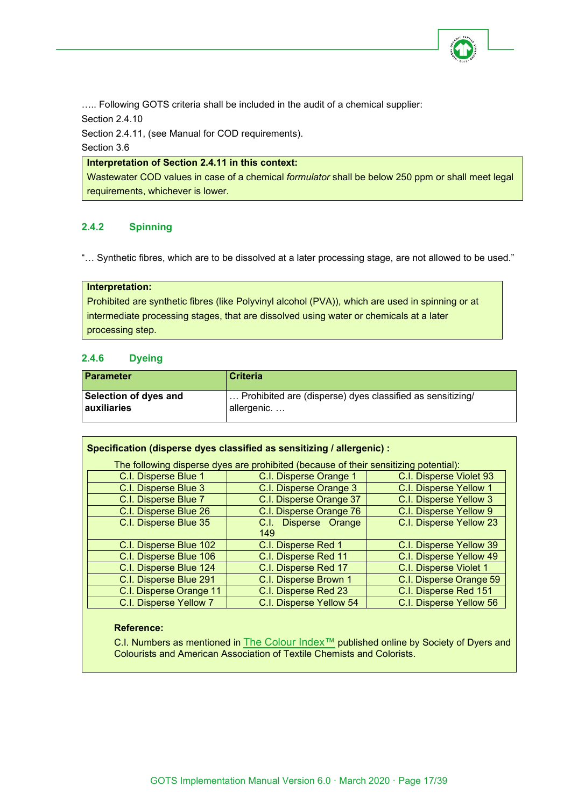

..... Following GOTS criteria shall be included in the audit of a chemical supplier:

Section 2.4.10

Section 2.4.11, (see Manual for COD requirements).

Section 3.6

# **Interpretation of Section 2.4.11 in this context:**

Wastewater COD values in case of a chemical *formulator* shall be below 250 ppm or shall meet legal requirements, whichever is lower.

# <span id="page-16-0"></span>**2.4.2 Spinning**

"… Synthetic fibres, which are to be dissolved at a later processing stage, are not allowed to be used."

#### **Interpretation:**

Prohibited are synthetic fibres (like Polyvinyl alcohol (PVA)), which are used in spinning or at intermediate processing stages, that are dissolved using water or chemicals at a later processing step.

# <span id="page-16-1"></span>**2.4.6 Dyeing**

| <b>Parameter</b>      | <b>Criteria</b>                                           |
|-----------------------|-----------------------------------------------------------|
| Selection of dyes and | Prohibited are (disperse) dyes classified as sensitizing/ |
| <b>auxiliaries</b>    | allergenic                                                |

| Specification (disperse dyes classified as sensitizing / allergenic) :               |                                |                         |  |  |
|--------------------------------------------------------------------------------------|--------------------------------|-------------------------|--|--|
| The following disperse dyes are prohibited (because of their sensitizing potential): |                                |                         |  |  |
| C.I. Disperse Blue 1                                                                 | C.I. Disperse Orange 1         | C.I. Disperse Violet 93 |  |  |
| C.I. Disperse Blue 3                                                                 | C.I. Disperse Orange 3         | C.I. Disperse Yellow 1  |  |  |
| C.I. Disperse Blue 7                                                                 | C.I. Disperse Orange 37        | C.I. Disperse Yellow 3  |  |  |
| C.I. Disperse Blue 26                                                                | C.I. Disperse Orange 76        | C.I. Disperse Yellow 9  |  |  |
| C.I. Disperse Blue 35                                                                | Disperse Orange<br>C.I.<br>149 | C.I. Disperse Yellow 23 |  |  |
| C.I. Disperse Blue 102                                                               | C.I. Disperse Red 1            | C.I. Disperse Yellow 39 |  |  |
| C.I. Disperse Blue 106                                                               | C.I. Disperse Red 11           | C.I. Disperse Yellow 49 |  |  |
| C.I. Disperse Blue 124                                                               | C.I. Disperse Red 17           | C.I. Disperse Violet 1  |  |  |
| C.I. Disperse Blue 291                                                               | C.I. Disperse Brown 1          | C.I. Disperse Orange 59 |  |  |
| C.I. Disperse Orange 11                                                              | C.I. Disperse Red 23           | C.I. Disperse Red 151   |  |  |
| C.I. Disperse Yellow 7                                                               | C.I. Disperse Yellow 54        | C.I. Disperse Yellow 56 |  |  |

#### **Reference:**

C.I. Numbers as mentioned in [The Colour Index™](https://colour-index.com/) published online by Society of Dyers and Colourists and American Association of Textile Chemists and Colorists.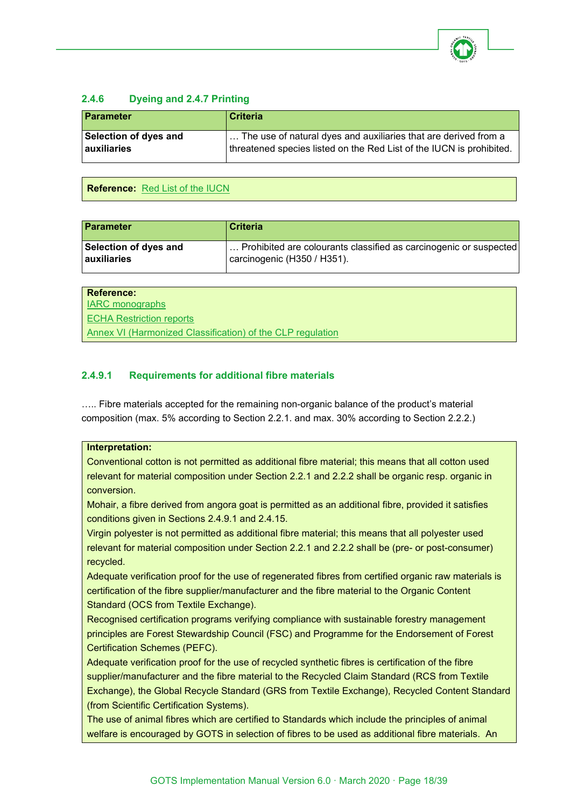

# <span id="page-17-0"></span>**2.4.6 Dyeing and 2.4.7 Printing**

| <b>Parameter</b>             | <b>Criteria</b>                                                      |
|------------------------------|----------------------------------------------------------------------|
| <b>Selection of dyes and</b> | The use of natural dyes and auxiliaries that are derived from a      |
| auxiliaries                  | threatened species listed on the Red List of the IUCN is prohibited. |

# **Reference:** [Red List of the IUCN](http://www.iucnredlist.org/)

| <b>Parameter</b>      | <b>Criteria</b>                                                   |
|-----------------------|-------------------------------------------------------------------|
| Selection of dyes and | Prohibited are colourants classified as carcinogenic or suspected |
| <b>auxiliaries</b>    | carcinogenic (H350 / H351).                                       |

| Reference:                                                 |
|------------------------------------------------------------|
| <b>IARC</b> monographs                                     |
| <b>ECHA Restriction reports</b>                            |
| Annex VI (Harmonized Classification) of the CLP regulation |

# <span id="page-17-1"></span>**2.4.9.1 Requirements for additional fibre materials**

….. Fibre materials accepted for the remaining non-organic balance of the product's material composition (max. 5% according to Section 2.2.1. and max. 30% according to Section 2.2.2.)

#### **Interpretation:**

Conventional cotton is not permitted as additional fibre material; this means that all cotton used relevant for material composition under Section 2.2.1 and 2.2.2 shall be organic resp. organic in conversion.

Mohair, a fibre derived from angora goat is permitted as an additional fibre, provided it satisfies conditions given in Sections 2.4.9.1 and 2.4.15.

Virgin polyester is not permitted as additional fibre material; this means that all polyester used relevant for material composition under Section 2.2.1 and 2.2.2 shall be (pre- or post-consumer) recycled.

Adequate verification proof for the use of regenerated fibres from certified organic raw materials is certification of the fibre supplier/manufacturer and the fibre material to the Organic Content Standard (OCS from Textile Exchange).

Recognised certification programs verifying compliance with sustainable forestry management principles are Forest Stewardship Council (FSC) and Programme for the Endorsement of Forest Certification Schemes (PEFC).

Adequate verification proof for the use of recycled synthetic fibres is certification of the fibre supplier/manufacturer and the fibre material to the Recycled Claim Standard (RCS from Textile Exchange), the Global Recycle Standard (GRS from Textile Exchange), Recycled Content Standard (from Scientific Certification Systems).

The use of animal fibres which are certified to Standards which include the principles of animal welfare is encouraged by GOTS in selection of fibres to be used as additional fibre materials. An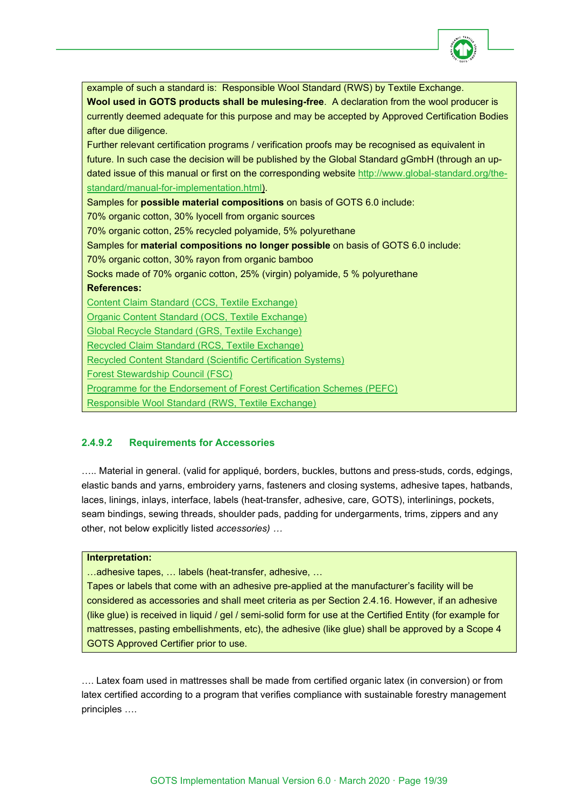

| example of such a standard is: Responsible Wool Standard (RWS) by Textile Exchange.                  |  |  |  |  |
|------------------------------------------------------------------------------------------------------|--|--|--|--|
| Wool used in GOTS products shall be mulesing-free. A declaration from the wool producer is           |  |  |  |  |
| currently deemed adequate for this purpose and may be accepted by Approved Certification Bodies      |  |  |  |  |
| after due diligence.                                                                                 |  |  |  |  |
| Further relevant certification programs / verification proofs may be recognised as equivalent in     |  |  |  |  |
| future. In such case the decision will be published by the Global Standard gGmbH (through an up-     |  |  |  |  |
| dated issue of this manual or first on the corresponding website http://www.global-standard.org/the- |  |  |  |  |
| standard/manual-for-implementation.html).                                                            |  |  |  |  |
| Samples for possible material compositions on basis of GOTS 6.0 include:                             |  |  |  |  |
| 70% organic cotton, 30% lyocell from organic sources                                                 |  |  |  |  |
| 70% organic cotton, 25% recycled polyamide, 5% polyurethane                                          |  |  |  |  |
| Samples for material compositions no longer possible on basis of GOTS 6.0 include:                   |  |  |  |  |
| 70% organic cotton, 30% rayon from organic bamboo                                                    |  |  |  |  |
| Socks made of 70% organic cotton, 25% (virgin) polyamide, 5 % polyurethane                           |  |  |  |  |
| <b>References:</b>                                                                                   |  |  |  |  |
| <b>Content Claim Standard (CCS, Textile Exchange)</b>                                                |  |  |  |  |
| Organic Content Standard (OCS, Textile Exchange)                                                     |  |  |  |  |
| <b>Global Recycle Standard (GRS, Textile Exchange)</b>                                               |  |  |  |  |
| Recycled Claim Standard (RCS, Textile Exchange)                                                      |  |  |  |  |
| <b>Recycled Content Standard (Scientific Certification Systems)</b>                                  |  |  |  |  |
| <b>Forest Stewardship Council (FSC)</b>                                                              |  |  |  |  |
| Programme for the Endorsement of Forest Certification Schemes (PEFC)                                 |  |  |  |  |
| Responsible Wool Standard (RWS, Textile Exchange)                                                    |  |  |  |  |
|                                                                                                      |  |  |  |  |

# <span id="page-18-0"></span>**2.4.9.2 Requirements for Accessories**

….. Material in general. (valid for appliqué, borders, buckles, buttons and press-studs, cords, edgings, elastic bands and yarns, embroidery yarns, fasteners and closing systems, adhesive tapes, hatbands, laces, linings, inlays, interface, labels (heat-transfer, adhesive, care, GOTS), interlinings, pockets, seam bindings, sewing threads, shoulder pads, padding for undergarments, trims, zippers and any other, not below explicitly listed *accessories) …*

#### **Interpretation:**

…adhesive tapes, … labels (heat-transfer, adhesive, …

Tapes or labels that come with an adhesive pre-applied at the manufacturer's facility will be considered as accessories and shall meet criteria as per Section 2.4.16. However, if an adhesive (like glue) is received in liquid / gel / semi-solid form for use at the Certified Entity (for example for mattresses, pasting embellishments, etc), the adhesive (like glue) shall be approved by a Scope 4 GOTS Approved Certifier prior to use.

…. Latex foam used in mattresses shall be made from certified organic latex (in conversion) or from latex certified according to a program that verifies compliance with sustainable forestry management principles ….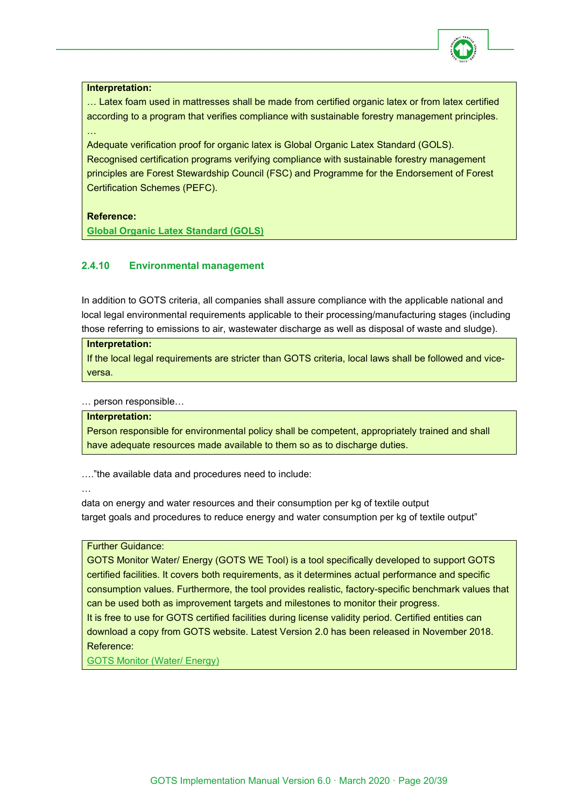

#### **Interpretation:**

…

… Latex foam used in mattresses shall be made from certified organic latex or from latex certified according to a program that verifies compliance with sustainable forestry management principles.

Adequate verification proof for organic latex is Global Organic Latex Standard (GOLS). Recognised certification programs verifying compliance with sustainable forestry management principles are Forest Stewardship Council (FSC) and Programme for the Endorsement of Forest Certification Schemes (PEFC).

#### **Reference:**

**[Global Organic Latex Standard \(GOLS\)](https://certifications.controlunion.com/en/certification-programs/certification-programs/gols-global-organic-latex-standard)**

# <span id="page-19-0"></span>**2.4.10 Environmental management**

In addition to GOTS criteria, all companies shall assure compliance with the applicable national and local legal environmental requirements applicable to their processing/manufacturing stages (including those referring to emissions to air, wastewater discharge as well as disposal of waste and sludge).

#### **Interpretation:**

If the local legal requirements are stricter than GOTS criteria, local laws shall be followed and viceversa.

… person responsible…

#### **Interpretation:**

Person responsible for environmental policy shall be competent, appropriately trained and shall have adequate resources made available to them so as to discharge duties.

…."the available data and procedures need to include:

…

data on energy and water resources and their consumption per kg of textile output target goals and procedures to reduce energy and water consumption per kg of textile output"

### Further Guidance:

GOTS Monitor Water/ Energy (GOTS WE Tool) is a tool specifically developed to support GOTS certified facilities. It covers both requirements, as it determines actual performance and specific consumption values. Furthermore, the tool provides realistic, factory-specific benchmark values that can be used both as improvement targets and milestones to monitor their progress. It is free to use for GOTS certified facilities during license validity period. Certified entities can download a copy from GOTS website. Latest Version 2.0 has been released in November 2018. Reference:

[GOTS Monitor \(Water/ Energy\)](https://global-standard.org/the-standard/gots-monitor.html)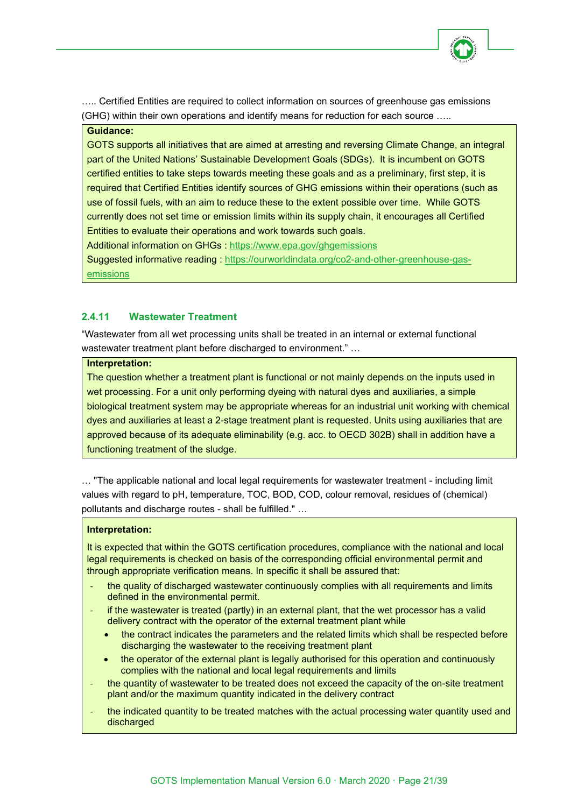

….. Certified Entities are required to collect information on sources of greenhouse gas emissions (GHG) within their own operations and identify means for reduction for each source …..

#### **Guidance:**

GOTS supports all initiatives that are aimed at arresting and reversing Climate Change, an integral part of the United Nations' Sustainable Development Goals (SDGs). It is incumbent on GOTS certified entities to take steps towards meeting these goals and as a preliminary, first step, it is required that Certified Entities identify sources of GHG emissions within their operations (such as use of fossil fuels, with an aim to reduce these to the extent possible over time. While GOTS currently does not set time or emission limits within its supply chain, it encourages all Certified Entities to evaluate their operations and work towards such goals.

Additional information on GHGs :<https://www.epa.gov/ghgemissions>

Suggested informative reading : [https://ourworldindata.org/co2-and-other-greenhouse-gas](https://ourworldindata.org/co2-and-other-greenhouse-gas-emissions)[emissions](https://ourworldindata.org/co2-and-other-greenhouse-gas-emissions)

# <span id="page-20-0"></span>**2.4.11 Wastewater Treatment**

"Wastewater from all wet processing units shall be treated in an internal or external functional wastewater treatment plant before discharged to environment." …

#### **Interpretation:**

The question whether a treatment plant is functional or not mainly depends on the inputs used in wet processing. For a unit only performing dyeing with natural dyes and auxiliaries, a simple biological treatment system may be appropriate whereas for an industrial unit working with chemical dyes and auxiliaries at least a 2-stage treatment plant is requested. Units using auxiliaries that are approved because of its adequate eliminability (e.g. acc. to OECD 302B) shall in addition have a functioning treatment of the sludge.

… "The applicable national and local legal requirements for wastewater treatment - including limit values with regard to pH, temperature, TOC, BOD, COD, colour removal, residues of (chemical) pollutants and discharge routes - shall be fulfilled." …

#### **Interpretation:**

It is expected that within the GOTS certification procedures, compliance with the national and local legal requirements is checked on basis of the corresponding official environmental permit and through appropriate verification means. In specific it shall be assured that:

- the quality of discharged wastewater continuously complies with all requirements and limits defined in the environmental permit.
- if the wastewater is treated (partly) in an external plant, that the wet processor has a valid delivery contract with the operator of the external treatment plant while
	- the contract indicates the parameters and the related limits which shall be respected before discharging the wastewater to the receiving treatment plant
	- the operator of the external plant is legally authorised for this operation and continuously complies with the national and local legal requirements and limits
- the quantity of wastewater to be treated does not exceed the capacity of the on-site treatment plant and/or the maximum quantity indicated in the delivery contract
- the indicated quantity to be treated matches with the actual processing water quantity used and discharged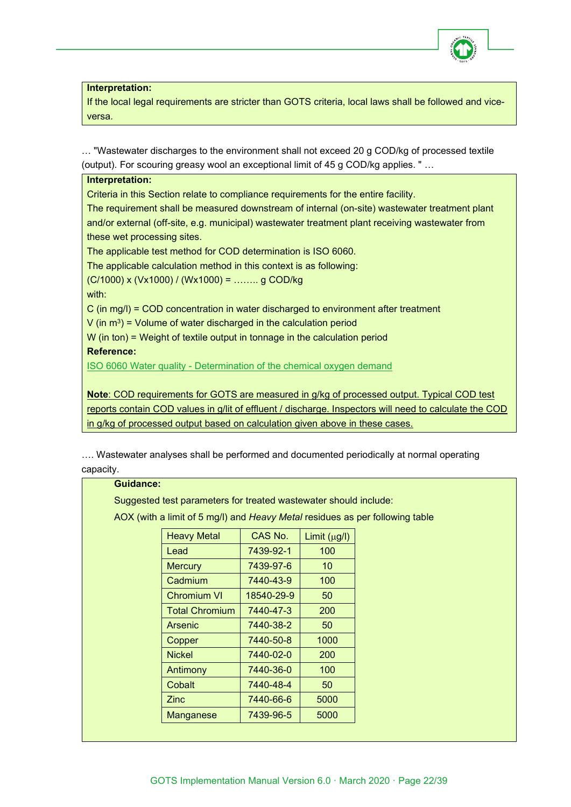

**Interpretation:**

If the local legal requirements are stricter than GOTS criteria, local laws shall be followed and viceversa.

… "Wastewater discharges to the environment shall not exceed 20 g COD/kg of processed textile (output). For scouring greasy wool an exceptional limit of 45 g COD/kg applies. " …

| Interpretation:                                                                                 |
|-------------------------------------------------------------------------------------------------|
| Criteria in this Section relate to compliance requirements for the entire facility.             |
| The requirement shall be measured downstream of internal (on-site) wastewater treatment plant   |
| and/or external (off-site, e.g. municipal) wastewater treatment plant receiving wastewater from |
| these wet processing sites.                                                                     |
| The applicable test method for COD determination is ISO 6060.                                   |
| The applicable calculation method in this context is as following:                              |
| $(C/1000)$ x (Vx1000) / (Wx1000) =  g COD/kg                                                    |
| with:                                                                                           |
| C (in mg/l) = COD concentration in water discharged to environment after treatment              |
| V (in $m^3$ ) = Volume of water discharged in the calculation period                            |
| $W$ (in ton) = Weight of textile output in tonnage in the calculation period                    |
| <b>Reference:</b>                                                                               |
| ISO 6060 Water quality - Determination of the chemical oxygen demand                            |
|                                                                                                 |
| Note: COD requirements for GOTS are measured in g/kg of processed output. Typical COD test      |
|                                                                                                 |

reports contain COD values in g/lit of effluent / discharge. Inspectors will need to calculate the COD in g/kg of processed output based on calculation given above in these cases.

…. Wastewater analyses shall be performed and documented periodically at normal operating capacity.

#### **Guidance:**

Suggested test parameters for treated wastewater should include:

AOX (with a limit of 5 mg/l) and *Heavy Metal* residues as per following table

| <b>Heavy Metal</b>    | CAS No.<br>Limit (µg/l) |      |
|-----------------------|-------------------------|------|
| Lead                  | 7439-92-1               | 100  |
| <b>Mercury</b>        | 7439-97-6               | 10   |
| Cadmium               | 7440-43-9               | 100  |
| <b>Chromium VI</b>    | 18540-29-9              | 50   |
| <b>Total Chromium</b> | 7440-47-3               | 200  |
| Arsenic               | 7440-38-2               | 50   |
| Copper                | 7440-50-8               | 1000 |
| <b>Nickel</b>         | 7440-02-0               | 200  |
| Antimony              | 7440-36-0               | 100  |
| Cobalt                | 7440-48-4               | 50   |
| <b>Zinc</b>           | 7440-66-6               | 5000 |
| Manganese             | 7439-96-5               | 5000 |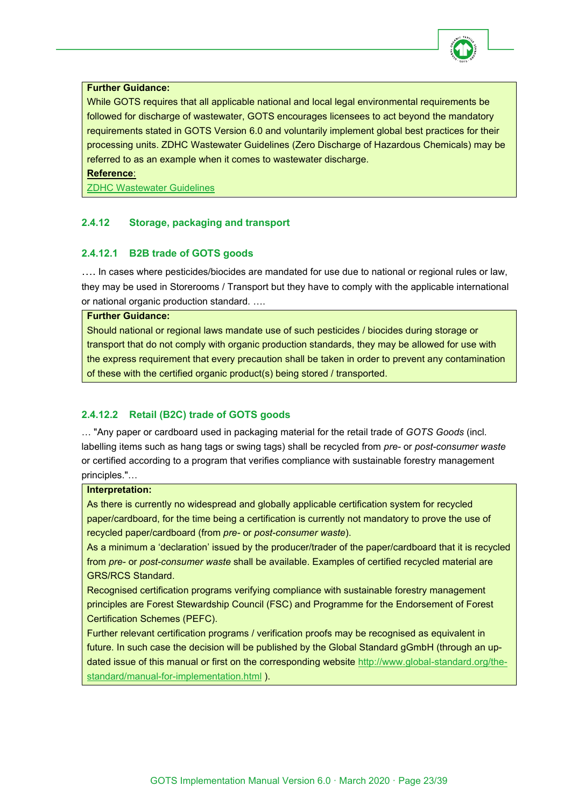

#### **Further Guidance:**

While GOTS requires that all applicable national and local legal environmental requirements be followed for discharge of wastewater, GOTS encourages licensees to act beyond the mandatory requirements stated in GOTS Version 6.0 and voluntarily implement global best practices for their processing units. ZDHC Wastewater Guidelines (Zero Discharge of Hazardous Chemicals) may be referred to as an example when it comes to wastewater discharge.

**Reference**:

[ZDHC Wastewater Guidelines](https://www.roadmaptozero.com/post/updated-zdhc-wastewater-guidelines-v1-1-released)

# <span id="page-22-0"></span>**2.4.12 Storage, packaging and transport**

# <span id="page-22-1"></span>**2.4.12.1 B2B trade of GOTS goods**

…. In cases where pesticides/biocides are mandated for use due to national or regional rules or law, they may be used in Storerooms / Transport but they have to comply with the applicable international or national organic production standard. ….

**Further Guidance:** 

Should national or regional laws mandate use of such pesticides / biocides during storage or transport that do not comply with organic production standards, they may be allowed for use with the express requirement that every precaution shall be taken in order to prevent any contamination of these with the certified organic product(s) being stored / transported.

# <span id="page-22-2"></span>**2.4.12.2 Retail (B2C) trade of GOTS goods**

… "Any paper or cardboard used in packaging material for the retail trade of *GOTS Goods* (incl. labelling items such as hang tags or swing tags) shall be recycled from *pre-* or *post-consumer waste* or certified according to a program that verifies compliance with sustainable forestry management principles."…

#### **Interpretation:**

As there is currently no widespread and globally applicable certification system for recycled paper/cardboard, for the time being a certification is currently not mandatory to prove the use of recycled paper/cardboard (from *pre-* or *post-consumer waste*).

As a minimum a 'declaration' issued by the producer/trader of the paper/cardboard that it is recycled from *pre-* or *post-consumer waste* shall be available. Examples of certified recycled material are GRS/RCS Standard.

Recognised certification programs verifying compliance with sustainable forestry management principles are Forest Stewardship Council (FSC) and Programme for the Endorsement of Forest Certification Schemes (PEFC).

Further relevant certification programs / verification proofs may be recognised as equivalent in future. In such case the decision will be published by the Global Standard gGmbH (through an updated issue of this manual or first on the corresponding website [http://www.global-standard.org/the](http://www.global-standard.org/the-standard/manual-for-implementation.html)[standard/manual-for-implementation.html](http://www.global-standard.org/the-standard/manual-for-implementation.html)).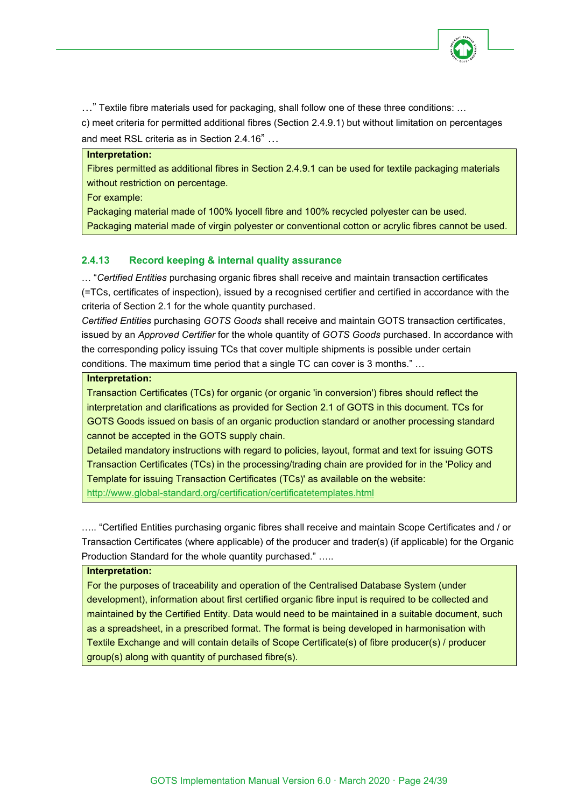

…" Textile fibre materials used for packaging, shall follow one of these three conditions: …

c) meet criteria for permitted additional fibres (Section 2.4.9.1) but without limitation on percentages and meet RSL criteria as in Section 2.4.16" …

#### **Interpretation:**

Fibres permitted as additional fibres in Section 2.4.9.1 can be used for textile packaging materials without restriction on percentage.

For example:

Packaging material made of 100% lyocell fibre and 100% recycled polyester can be used. Packaging material made of virgin polyester or conventional cotton or acrylic fibres cannot be used.

# <span id="page-23-0"></span>**2.4.13 Record keeping & internal quality assurance**

… "*Certified Entities* purchasing organic fibres shall receive and maintain transaction certificates (=TCs, certificates of inspection), issued by a recognised certifier and certified in accordance with the criteria of Section 2.1 for the whole quantity purchased.

*Certified Entities* purchasing *GOTS Goods* shall receive and maintain GOTS transaction certificates, issued by an *Approved Certifier* for the whole quantity of *GOTS Goods* purchased. In accordance with the corresponding policy issuing TCs that cover multiple shipments is possible under certain conditions. The maximum time period that a single TC can cover is 3 months." …

#### **Interpretation:**

Transaction Certificates (TCs) for organic (or organic 'in conversion') fibres should reflect the interpretation and clarifications as provided for Section 2.1 of GOTS in this document. TCs for GOTS Goods issued on basis of an organic production standard or another processing standard cannot be accepted in the GOTS supply chain.

Detailed mandatory instructions with regard to policies, layout, format and text for issuing GOTS Transaction Certificates (TCs) in the processing/trading chain are provided for in the 'Policy and Template for issuing Transaction Certificates (TCs)' as available on the website: <http://www.global-standard.org/certification/certificatetemplates.html>

….. "Certified Entities purchasing organic fibres shall receive and maintain Scope Certificates and / or Transaction Certificates (where applicable) of the producer and trader(s) (if applicable) for the Organic Production Standard for the whole quantity purchased." …..

#### **Interpretation:**

For the purposes of traceability and operation of the Centralised Database System (under development), information about first certified organic fibre input is required to be collected and maintained by the Certified Entity. Data would need to be maintained in a suitable document, such as a spreadsheet, in a prescribed format. The format is being developed in harmonisation with Textile Exchange and will contain details of Scope Certificate(s) of fibre producer(s) / producer group(s) along with quantity of purchased fibre(s).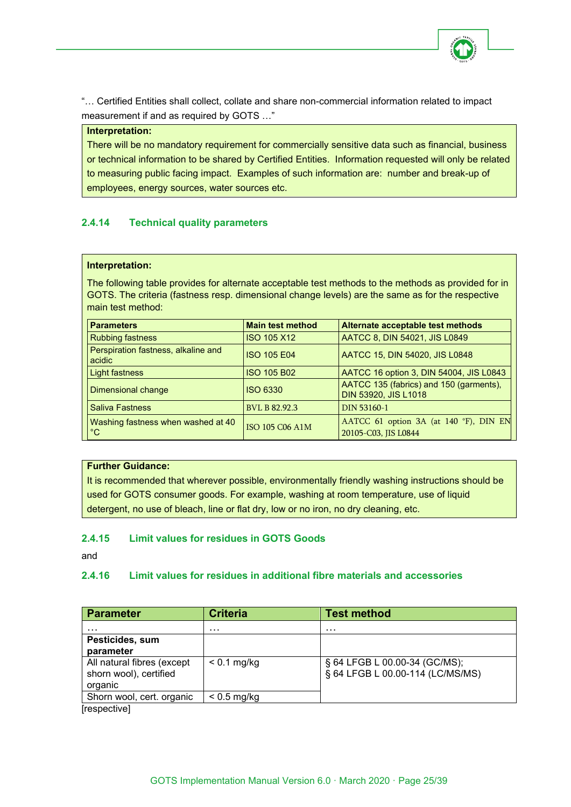

"… Certified Entities shall collect, collate and share non-commercial information related to impact measurement if and as required by GOTS …"

#### **Interpretation:**

There will be no mandatory requirement for commercially sensitive data such as financial, business or technical information to be shared by Certified Entities. Information requested will only be related to measuring public facing impact. Examples of such information are: number and break-up of employees, energy sources, water sources etc.

# <span id="page-24-0"></span>**2.4.14 Technical quality parameters**

#### **Interpretation:**

The following table provides for alternate acceptable test methods to the methods as provided for in GOTS. The criteria (fastness resp. dimensional change levels) are the same as for the respective main test method:

| <b>Parameters</b>                                  | <b>Main test method</b> | Alternate acceptable test methods                               |
|----------------------------------------------------|-------------------------|-----------------------------------------------------------------|
| <b>Rubbing fastness</b>                            | <b>ISO 105 X12</b>      | AATCC 8, DIN 54021, JIS L0849                                   |
| Perspiration fastness, alkaline and<br>acidic      | <b>ISO 105 E04</b>      | AATCC 15, DIN 54020, JIS L0848                                  |
| Light fastness                                     | <b>ISO 105 B02</b>      | AATCC 16 option 3, DIN 54004, JIS L0843                         |
| Dimensional change                                 | <b>ISO 6330</b>         | AATCC 135 (fabrics) and 150 (garments),<br>DIN 53920, JIS L1018 |
| <b>Saliva Fastness</b>                             | <b>BVL B 82.92.3</b>    | DIN 53160-1                                                     |
| Washing fastness when washed at 40<br>$^{\circ}$ C | ISO 105 C06 A1M         | AATCC 61 option 3A (at 140 °F), DIN EN<br>20105-C03, JIS L0844  |

#### **Further Guidance:**

It is recommended that wherever possible, environmentally friendly washing instructions should be used for GOTS consumer goods. For example, washing at room temperature, use of liquid detergent, no use of bleach, line or flat dry, low or no iron, no dry cleaning, etc.

#### <span id="page-24-1"></span>**2.4.15 Limit values for residues in GOTS Goods**

and

#### <span id="page-24-2"></span>**2.4.16 Limit values for residues in additional fibre materials and accessories**

| <b>Parameter</b>                                                | <b>Criteria</b> | <b>Test method</b>                                                |
|-----------------------------------------------------------------|-----------------|-------------------------------------------------------------------|
| .                                                               | .               | .                                                                 |
| Pesticides, sum<br>parameter                                    |                 |                                                                   |
| All natural fibres (except<br>shorn wool), certified<br>organic | $< 0.1$ mg/kg   | § 64 LFGB L 00.00-34 (GC/MS);<br>§ 64 LFGB L 00.00-114 (LC/MS/MS) |
| Shorn wool, cert. organic                                       | $< 0.5$ mg/kg   |                                                                   |

[respective]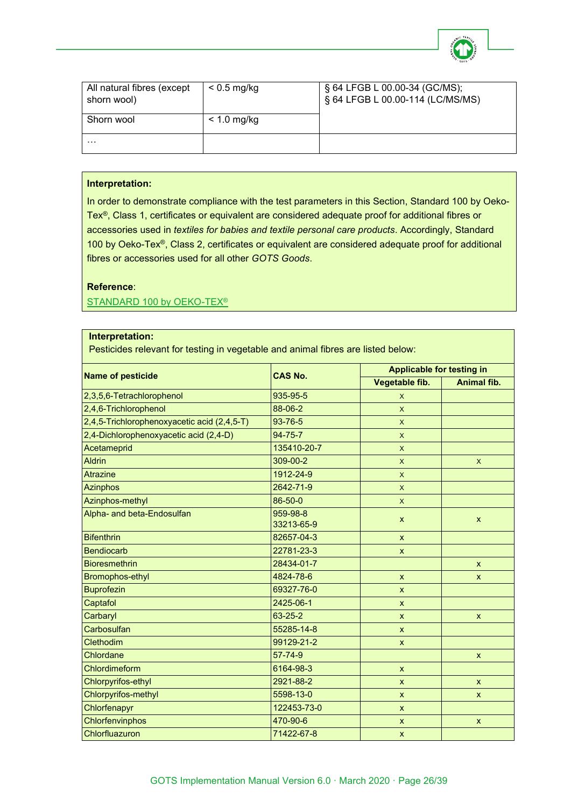

| All natural fibres (except<br>shorn wool) | $< 0.5$ mg/kg | § 64 LFGB L 00.00-34 (GC/MS);<br>§ 64 LFGB L 00.00-114 (LC/MS/MS) |
|-------------------------------------------|---------------|-------------------------------------------------------------------|
| Shorn wool                                | $< 1.0$ mg/kg |                                                                   |
| .                                         |               |                                                                   |

#### **Interpretation:**

In order to demonstrate compliance with the test parameters in this Section, [Standard 100](https://www.oeko-tex.com/en/manufacturers/test_criteria/limit_values/limit_values.html) by Oeko-Tex®, Class 1, certificates or equivalent are considered adequate proof for additional fibres or accessories used in *textiles for babies and textile personal care products*. Accordingly, Standard 100 by Oeko-Tex®, Class 2, certificates or equivalent are considered adequate proof for additional fibres or accessories used for all other *GOTS Goods*.

#### **Reference**:

STANDARD 100 by OEKO-TEX<sup>®</sup>

#### **Interpretation:**

Pesticides relevant for testing in vegetable and animal fibres are listed below:

| <b>Name of pesticide</b>                    | <b>CAS No.</b>         | <b>Applicable for testing in</b> |                           |
|---------------------------------------------|------------------------|----------------------------------|---------------------------|
|                                             |                        | Vegetable fib.                   | <b>Animal fib.</b>        |
| 2,3,5,6-Tetrachlorophenol                   | 935-95-5               | X                                |                           |
| 2,4,6-Trichlorophenol                       | 88-06-2                | $\mathsf{X}$                     |                           |
| 2,4,5-Trichlorophenoxyacetic acid (2,4,5-T) | 93-76-5                | $\boldsymbol{\mathsf{X}}$        |                           |
| 2,4-Dichlorophenoxyacetic acid (2,4-D)      | $94 - 75 - 7$          | $\boldsymbol{\mathsf{X}}$        |                           |
| Acetameprid                                 | 135410-20-7            | $\mathsf{x}$                     |                           |
| <b>Aldrin</b>                               | 309-00-2               | $\boldsymbol{\mathsf{X}}$        | $\mathsf{X}$              |
| <b>Atrazine</b>                             | 1912-24-9              | $\mathsf{x}$                     |                           |
| <b>Azinphos</b>                             | 2642-71-9              | $\mathsf{x}$                     |                           |
| Azinphos-methyl                             | 86-50-0                | $\mathsf{x}$                     |                           |
| Alpha- and beta-Endosulfan                  | 959-98-8<br>33213-65-9 | $\boldsymbol{\mathsf{x}}$        | $\boldsymbol{\mathsf{x}}$ |
| <b>Bifenthrin</b>                           | 82657-04-3             | $\mathsf{x}$                     |                           |
| <b>Bendiocarb</b>                           | 22781-23-3             | $\mathsf{x}$                     |                           |
| <b>Bioresmethrin</b>                        | 28434-01-7             |                                  | $\mathsf{x}$              |
| Bromophos-ethyl                             | 4824-78-6              | $\mathsf{x}$                     | $\mathsf{x}$              |
| <b>Buprofezin</b>                           | 69327-76-0             | $\mathsf{x}$                     |                           |
| Captafol                                    | 2425-06-1              | $\mathsf{x}$                     |                           |
| Carbaryl                                    | 63-25-2                | $\mathsf{x}$                     | $\mathsf{x}$              |
| Carbosulfan                                 | 55285-14-8             | $\mathsf{x}$                     |                           |
| Clethodim                                   | 99129-21-2             | $\mathsf{x}$                     |                           |
| Chlordane                                   | 57-74-9                |                                  | $\mathsf{x}$              |
| Chlordimeform                               | 6164-98-3              | $\mathsf{x}$                     |                           |
| Chlorpyrifos-ethyl                          | 2921-88-2              | $\boldsymbol{\mathsf{x}}$        | $\mathsf{x}$              |
| <b>Chlorpyrifos-methyl</b>                  | 5598-13-0              | $\boldsymbol{\mathsf{x}}$        | $\mathsf{x}$              |
| Chlorfenapyr                                | 122453-73-0            | $\mathsf{x}$                     |                           |
| Chlorfenvinphos                             | 470-90-6               | $\boldsymbol{\mathsf{x}}$        | $\mathsf{x}$              |
| Chlorfluazuron                              | 71422-67-8             | $\mathsf{x}$                     |                           |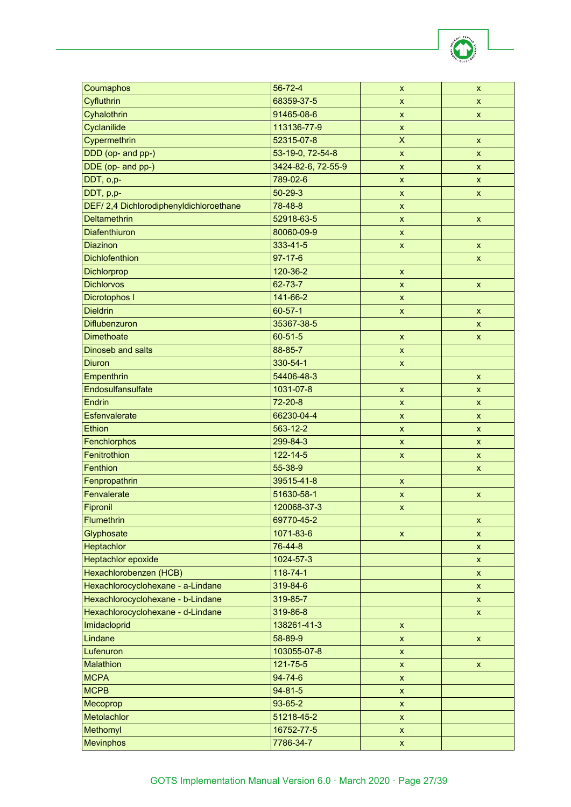| Coumaphos                               | 56-72-4            | $\boldsymbol{x}$          | X                         |
|-----------------------------------------|--------------------|---------------------------|---------------------------|
| Cyfluthrin                              | 68359-37-5         | $\pmb{\mathsf{x}}$        | $\boldsymbol{\mathsf{x}}$ |
| Cyhalothrin                             | 91465-08-6         | $\pmb{\mathsf{x}}$        | X                         |
| Cyclanilide                             | 113136-77-9        | X                         |                           |
| Cypermethrin                            | 52315-07-8         | $\overline{\mathsf{X}}$   | $\mathsf{x}$              |
| DDD (op- and pp-)                       | 53-19-0, 72-54-8   | $\pmb{\mathsf{x}}$        | $\mathsf{x}$              |
| DDE (op- and pp-)                       | 3424-82-6, 72-55-9 | $\boldsymbol{\mathsf{x}}$ | X                         |
| DDT, o,p-                               | 789-02-6           | X                         | $\mathsf{X}$              |
| DDT, p,p-                               | $50 - 29 - 3$      | $\pmb{\mathsf{x}}$        | X                         |
| DEF/ 2,4 Dichlorodiphenyldichloroethane | 78-48-8            | $\pmb{\mathsf{x}}$        |                           |
| <b>Deltamethrin</b>                     | 52918-63-5         | $\pmb{\mathsf{x}}$        | $\pmb{\mathsf{x}}$        |
| <b>Diafenthiuron</b>                    | 80060-09-9         | X                         |                           |
| <b>Diazinon</b>                         | 333-41-5           | $\pmb{\mathsf{x}}$        | $\pmb{\mathsf{x}}$        |
| <b>Dichlofenthion</b>                   | $97 - 17 - 6$      |                           | X                         |
| <b>Dichlorprop</b>                      | 120-36-2           | $\boldsymbol{\mathsf{x}}$ |                           |
| <b>Dichlorvos</b>                       | 62-73-7            | $\boldsymbol{\mathsf{x}}$ | $\mathsf{x}$              |
| Dicrotophos I                           | 141-66-2           | $\pmb{\mathsf{x}}$        |                           |
| <b>Dieldrin</b>                         | $60 - 57 - 1$      | $\pmb{\mathsf{x}}$        | $\pmb{\mathsf{x}}$        |
| <b>Diflubenzuron</b>                    | 35367-38-5         |                           | X                         |
| <b>Dimethoate</b>                       | 60-51-5            | $\pmb{\mathsf{x}}$        | $\pmb{\mathsf{x}}$        |
| Dinoseb and salts                       | 88-85-7            | $\pmb{\mathsf{x}}$        |                           |
| <b>Diuron</b>                           | 330-54-1           | $\boldsymbol{\mathsf{x}}$ |                           |
| Empenthrin                              | 54406-48-3         |                           | $\mathsf{x}$              |
| Endosulfansulfate                       | 1031-07-8          | $\boldsymbol{\mathsf{x}}$ | $\mathsf{x}$              |
| Endrin                                  | $72 - 20 - 8$      | $\pmb{\mathsf{x}}$        | $\pmb{\mathsf{x}}$        |
| Esfenvalerate                           | 66230-04-4         | $\boldsymbol{\mathsf{x}}$ | X                         |
| Ethion                                  | 563-12-2           | $\pmb{\mathsf{x}}$        | X                         |
| Fenchlorphos                            | 299-84-3           | $\pmb{\mathsf{x}}$        | $\pmb{\mathsf{x}}$        |
| Fenitrothion                            | 122-14-5           | $\pmb{\mathsf{x}}$        | $\pmb{\mathsf{x}}$        |
| Fenthion                                | 55-38-9            |                           | X                         |
| Fenpropathrin                           | 39515-41-8         | $\pmb{\mathsf{x}}$        |                           |
| Fenvalerate                             | 51630-58-1         | $\pmb{\mathsf{x}}$        | $\pmb{\mathsf{x}}$        |
| Fipronil                                | 120068-37-3        | X                         |                           |
| <b>Flumethrin</b>                       | 69770-45-2         |                           | $\pmb{\mathsf{x}}$        |
| Glyphosate                              | 1071-83-6          | $\pmb{\mathsf{x}}$        | $\boldsymbol{\mathsf{X}}$ |
| Heptachlor                              | 76-44-8            |                           | $\boldsymbol{\mathsf{X}}$ |
| <b>Heptachlor epoxide</b>               | 1024-57-3          |                           | $\pmb{\mathsf{X}}$        |
| Hexachlorobenzen (HCB)                  | 118-74-1           |                           | $\boldsymbol{\mathsf{X}}$ |
| Hexachlorocyclohexane - a-Lindane       | 319-84-6           |                           | X.                        |
| Hexachlorocyclohexane - b-Lindane       | 319-85-7           |                           | X                         |
| Hexachlorocyclohexane - d-Lindane       | 319-86-8           |                           | X.                        |
| Imidacloprid                            | 138261-41-3        | $\pmb{\mathsf{X}}$        |                           |
| Lindane                                 | 58-89-9            | $\pmb{\mathsf{x}}$        | $\pmb{\mathsf{X}}$        |
| Lufenuron                               | 103055-07-8        | X                         |                           |
| <b>Malathion</b>                        | 121-75-5           | $\pmb{\mathsf{x}}$        | $\boldsymbol{\mathsf{x}}$ |
| <b>MCPA</b>                             | 94-74-6            | $\pmb{\mathsf{x}}$        |                           |
| <b>MCPB</b>                             | $94 - 81 - 5$      | $\pmb{\mathsf{x}}$        |                           |
| Mecoprop                                | 93-65-2            | X                         |                           |
| Metolachlor                             | 51218-45-2         | $\pmb{\mathsf{x}}$        |                           |
| Methomyl                                | 16752-77-5         | X                         |                           |
| <b>Mevinphos</b>                        | 7786-34-7          | $\pmb{\mathsf{X}}$        |                           |
|                                         |                    |                           |                           |

**ICT**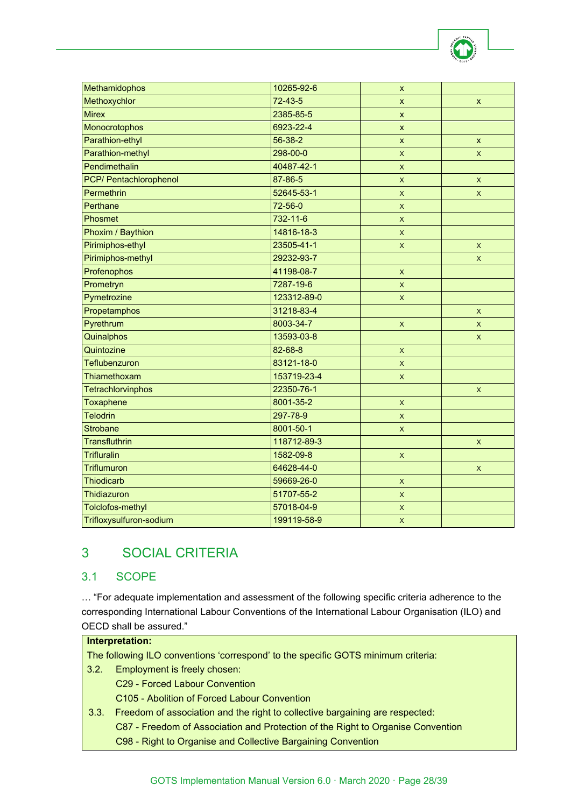| Methamidophos           | 10265-92-6  | $\mathsf{x}$              |              |
|-------------------------|-------------|---------------------------|--------------|
| Methoxychlor            | $72-43-5$   | x                         | X            |
| <b>Mirex</b>            | 2385-85-5   | $\pmb{\mathsf{X}}$        |              |
| Monocrotophos           | 6923-22-4   | $\pmb{\mathsf{X}}$        |              |
| Parathion-ethyl         | 56-38-2     | $\pmb{\mathsf{X}}$        | $\mathsf{x}$ |
| Parathion-methyl        | 298-00-0    | $\mathsf{x}$              | X            |
| Pendimethalin           | 40487-42-1  | X                         |              |
| PCP/ Pentachlorophenol  | 87-86-5     | $\pmb{\mathsf{X}}$        | $\mathsf X$  |
| Permethrin              | 52645-53-1  | $\mathsf{x}$              | X            |
| Perthane                | 72-56-0     | $\bar{\mathsf{X}}$        |              |
| Phosmet                 | 732-11-6    | $\mathsf{x}$              |              |
| Phoxim / Baythion       | 14816-18-3  | $\boldsymbol{\mathsf{X}}$ |              |
| Pirimiphos-ethyl        | 23505-41-1  | $\mathsf X$               | X            |
| Pirimiphos-methyl       | 29232-93-7  |                           | $\mathsf{x}$ |
| Profenophos             | 41198-08-7  | $\mathsf{x}$              |              |
| Prometryn               | 7287-19-6   | X                         |              |
| Pymetrozine             | 123312-89-0 | $\mathsf X$               |              |
| Propetamphos            | 31218-83-4  |                           | $\mathsf{x}$ |
| Pyrethrum               | 8003-34-7   | $\mathsf X$               | $\mathsf{x}$ |
| Quinalphos              | 13593-03-8  |                           | X.           |
| Quintozine              | 82-68-8     | $\mathsf X$               |              |
| Teflubenzuron           | 83121-18-0  | X                         |              |
| Thiamethoxam            | 153719-23-4 | $\pmb{\mathsf{X}}$        |              |
| Tetrachlorvinphos       | 22350-76-1  |                           | X            |
| Toxaphene               | 8001-35-2   | $\pmb{\mathsf{X}}$        |              |
| <b>Telodrin</b>         | 297-78-9    | $\pmb{\mathsf{X}}$        |              |
| <b>Strobane</b>         | 8001-50-1   | X                         |              |
| <b>Transfluthrin</b>    | 118712-89-3 |                           | X            |
| <b>Trifluralin</b>      | 1582-09-8   | $\pmb{\mathsf{X}}$        |              |
| <b>Triflumuron</b>      | 64628-44-0  |                           | X            |
| Thiodicarb              | 59669-26-0  | $\mathsf X$               |              |
| Thidiazuron             | 51707-55-2  | X                         |              |
| Tolclofos-methyl        | 57018-04-9  | $\pmb{\mathsf{X}}$        |              |
| Trifloxysulfuron-sodium | 199119-58-9 | $\pmb{\times}$            |              |

# <span id="page-27-0"></span>3 SOCIAL CRITERIA

# <span id="page-27-1"></span>3.1 SCOPE

… "For adequate implementation and assessment of the following specific criteria adherence to the corresponding International Labour Conventions of the International Labour Organisation (ILO) and OECD shall be assured."

# **Interpretation:**

The following ILO conventions 'correspond' to the specific GOTS minimum criteria:

- 3.2. Employment is freely chosen: C29 - Forced Labour Convention C105 - Abolition of Forced Labour Convention
- 3.3. Freedom of association and the right to collective bargaining are respected: C87 - Freedom of Association and Protection of the Right to Organise Convention C98 - Right to Organise and Collective Bargaining Convention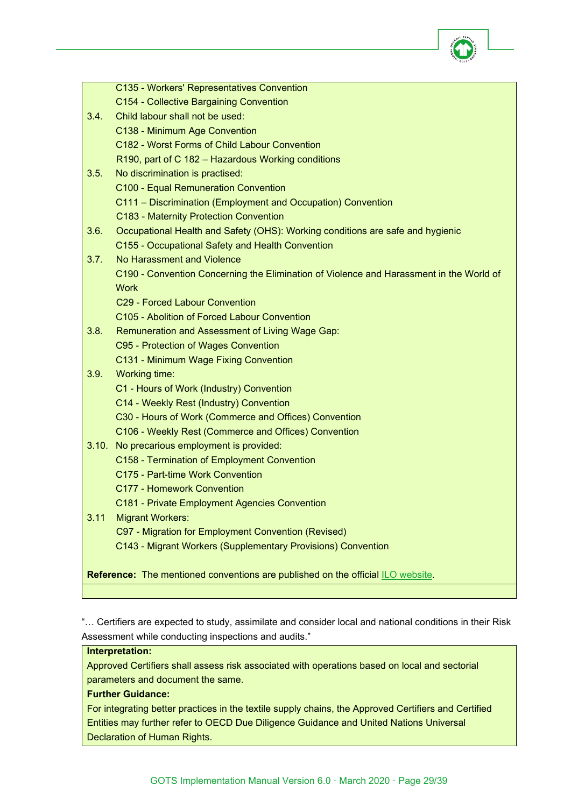

|      | C135 - Workers' Representatives Convention                                              |
|------|-----------------------------------------------------------------------------------------|
|      | C154 - Collective Bargaining Convention                                                 |
| 3.4. | Child labour shall not be used:                                                         |
|      | C138 - Minimum Age Convention                                                           |
|      | C182 - Worst Forms of Child Labour Convention                                           |
|      | R190, part of C 182 - Hazardous Working conditions                                      |
| 3.5. | No discrimination is practised:                                                         |
|      | <b>C100 - Equal Remuneration Convention</b>                                             |
|      | C111 - Discrimination (Employment and Occupation) Convention                            |
|      | C183 - Maternity Protection Convention                                                  |
| 3.6. | Occupational Health and Safety (OHS): Working conditions are safe and hygienic          |
|      | C155 - Occupational Safety and Health Convention                                        |
| 3.7. | No Harassment and Violence                                                              |
|      | C190 - Convention Concerning the Elimination of Violence and Harassment in the World of |
|      | <b>Work</b>                                                                             |
|      | C29 - Forced Labour Convention                                                          |
|      | C105 - Abolition of Forced Labour Convention                                            |
| 3.8. | Remuneration and Assessment of Living Wage Gap:                                         |
|      | C95 - Protection of Wages Convention                                                    |
|      | C131 - Minimum Wage Fixing Convention                                                   |
| 3.9. | Working time:                                                                           |
|      | C1 - Hours of Work (Industry) Convention                                                |
|      | C14 - Weekly Rest (Industry) Convention                                                 |
|      | C30 - Hours of Work (Commerce and Offices) Convention                                   |
|      | C106 - Weekly Rest (Commerce and Offices) Convention                                    |
|      | 3.10. No precarious employment is provided:                                             |
|      | C158 - Termination of Employment Convention                                             |
|      | C175 - Part-time Work Convention                                                        |
|      | <b>C177 - Homework Convention</b>                                                       |
|      | C181 - Private Employment Agencies Convention                                           |
| 3.11 | <b>Migrant Workers:</b>                                                                 |
|      | C97 - Migration for Employment Convention (Revised)                                     |
|      | C143 - Migrant Workers (Supplementary Provisions) Convention                            |
|      |                                                                                         |
|      | <b>Reference:</b> The mentioned conventions are published on the official ILO website.  |

"… Certifiers are expected to study, assimilate and consider local and national conditions in their Risk Assessment while conducting inspections and audits."

#### **Interpretation:**

Approved Certifiers shall assess risk associated with operations based on local and sectorial parameters and document the same.

# **Further Guidance:**

For integrating better practices in the textile supply chains, the Approved Certifiers and Certified Entities may further refer to OECD Due Diligence Guidance and United Nations Universal Declaration of Human Rights.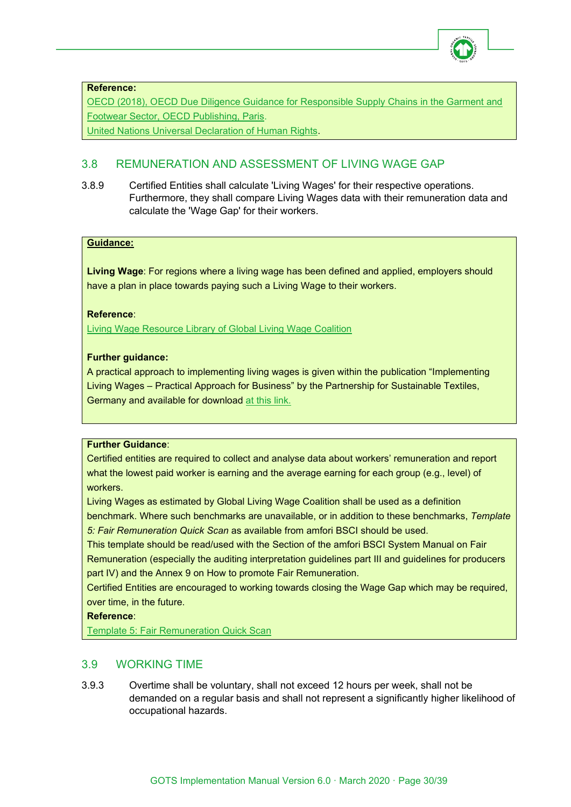

#### **Reference:**

[OECD \(2018\), OECD Due Diligence Guidance for Responsible Supply Chains in the Garment and](http://dx.doi.org/10.1787/9789264290587-en)  [Footwear Sector, OECD Publishing, Paris.](http://dx.doi.org/10.1787/9789264290587-en)

[United Nations Universal Declaration of Human Rights.](https://www.un.org/en/universal-declaration-human-rights)

# <span id="page-29-0"></span>3.8 REMUNERATION AND ASSESSMENT OF LIVING WAGE GAP

3.8.9 Certified Entities shall calculate 'Living Wages' for their respective operations. Furthermore, they shall compare Living Wages data with their remuneration data and calculate the 'Wage Gap' for their workers.

#### **Guidance:**

**Living Wage**: For regions where a living wage has been defined and applied, employers should have a plan in place towards paying such a Living Wage to their workers.

# **Reference**:

[Living Wage Resource Library of Global Living Wage Coalition](https://www.globallivingwage.org/resource-library/?fwp_resource_type=livingwage)

# **Further guidance:**

A practical approach to implementing living wages is given within the publication "Implementing Living Wages – Practical Approach for Business" by the Partnership for Sustainable Textiles, Germany and available for download [at this link.](https://www.textilbuendnis.com/en/downloads/)

#### **Further Guidance**:

Certified entities are required to collect and analyse data about workers' remuneration and report what the lowest paid worker is earning and the average earning for each group (e.g., level) of workers.

Living Wages as estimated by Global Living Wage Coalition shall be used as a definition benchmark. Where such benchmarks are unavailable, or in addition to these benchmarks, *Template* 

*5: Fair Remuneration Quick Scan* as available from amfori BSCI should be used.

This template should be read/used with the Section of the amfori BSCI System Manual on Fair Remuneration (especially the auditing interpretation guidelines part III and guidelines for producers part IV) and the Annex 9 on How to promote Fair Remuneration.

Certified Entities are encouraged to working towards closing the Wage Gap which may be required, over time, in the future.

#### **Reference**:

[Template 5: Fair Remuneration Quick Scan](https://www.amfori.org/sites/default/files/Template%205%20Living%20Wage.pdf)

# <span id="page-29-1"></span>3.9 WORKING TIME

3.9.3 Overtime shall be voluntary, shall not exceed 12 hours per week, shall not be demanded on a regular basis and shall not represent a significantly higher likelihood of occupational hazards.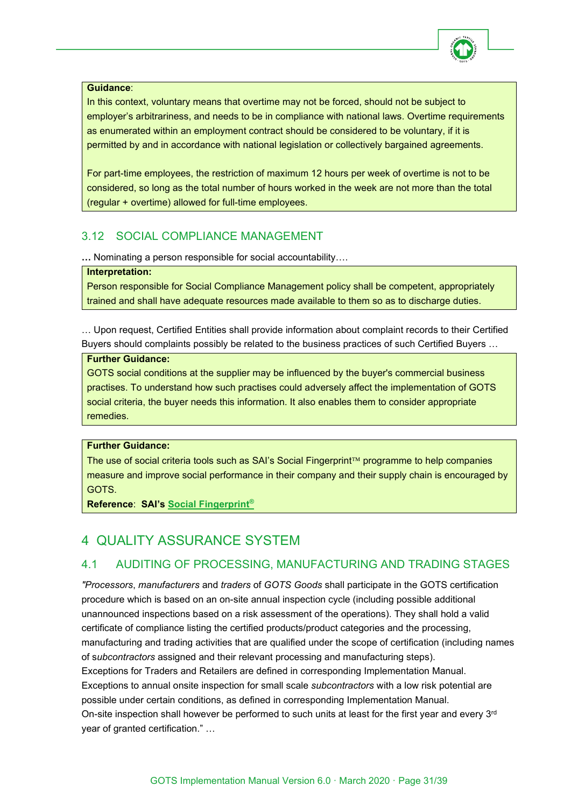

#### **Guidance**:

In this context, voluntary means that overtime may not be forced, should not be subject to employer's arbitrariness, and needs to be in compliance with national laws. Overtime requirements as enumerated within an employment contract should be considered to be voluntary, if it is permitted by and in accordance with national legislation or collectively bargained agreements.

For part-time employees, the restriction of maximum 12 hours per week of overtime is not to be considered, so long as the total number of hours worked in the week are not more than the total (regular + overtime) allowed for full-time employees.

# <span id="page-30-0"></span>3.12 SOCIAL COMPLIANCE MANAGEMENT

**…** Nominating a person responsible for social accountability….

#### **Interpretation:**

Person responsible for Social Compliance Management policy shall be competent, appropriately trained and shall have adequate resources made available to them so as to discharge duties.

… Upon request, Certified Entities shall provide information about complaint records to their Certified Buyers should complaints possibly be related to the business practices of such Certified Buyers …

#### **Further Guidance:**

GOTS social conditions at the supplier may be influenced by the buyer's commercial business practises. To understand how such practises could adversely affect the implementation of GOTS social criteria, the buyer needs this information. It also enables them to consider appropriate remedies.

# **Further Guidance:**

The use of social criteria tools such as SAI's Social Fingerprint<sup>™</sup> programme to help companies measure and improve social performance in their company and their supply chain is encouraged by GOTS.

**Reference**: **SAI's [Social Fingerprint®](http://www.sa-intl.org/index.cfm?fuseaction=Page.ViewPage&PageID=1797)**

# <span id="page-30-1"></span>4 QUALITY ASSURANCE SYSTEM

# <span id="page-30-2"></span>4.1 AUDITING OF PROCESSING, MANUFACTURING AND TRADING STAGES

*"Processors*, *manufacturers* and *traders* of *GOTS Goods* shall participate in the GOTS certification procedure which is based on an on-site annual inspection cycle (including possible additional unannounced inspections based on a risk assessment of the operations). They shall hold a valid certificate of compliance listing the certified products/product categories and the processing, manufacturing and trading activities that are qualified under the scope of certification (including names of s*ubcontractors* assigned and their relevant processing and manufacturing steps). Exceptions for Traders and Retailers are defined in corresponding Implementation Manual. Exceptions to annual onsite inspection for small scale *subcontractors* with a low risk potential are possible under certain conditions, as defined in corresponding Implementation Manual. On-site inspection shall however be performed to such units at least for the first year and every 3rd year of granted certification." …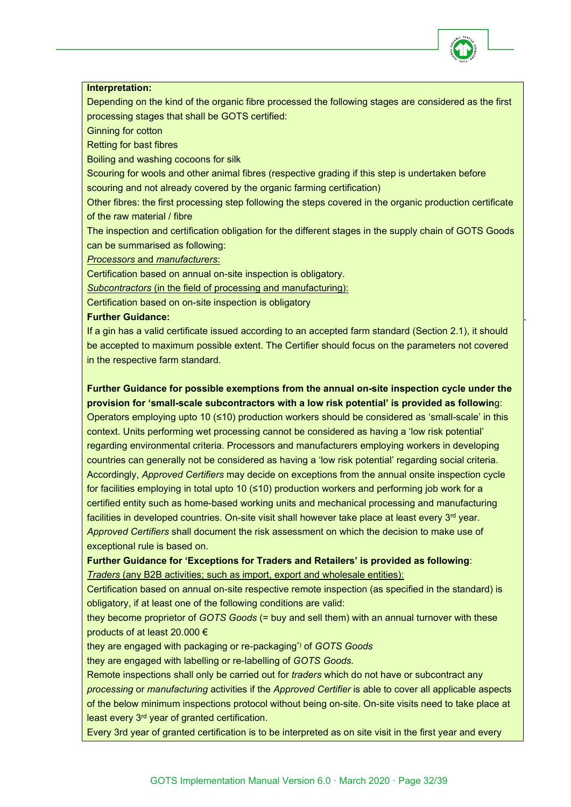

#### **Interpretation:**

Depending on the kind of the organic fibre processed the following stages are considered as the first processing stages that shall be GOTS certified:

Ginning for cotton

Retting for bast fibres

Boiling and washing cocoons for silk

Scouring for wools and other animal fibres (respective grading if this step is undertaken before scouring and not already covered by the organic farming certification)

Other fibres: the first processing step following the steps covered in the organic production certificate of the raw material / fibre

The inspection and certification obligation for the different stages in the supply chain of GOTS Goods can be summarised as following:

*Processors* and *manufacturers*:

Certification based on annual on-site inspection is obligatory.

*Subcontractors* (in the field of processing and manufacturing):

Certification based on on-site inspection is obligatory

#### **Further Guidance:**

If a gin has a valid certificate issued according to an accepted farm standard (Section 2.1), it should be accepted to maximum possible extent. The Certifier should focus on the parameters not covered in the respective farm standard.

**Further Guidance for possible exemptions from the annual on-site inspection cycle under the provision for 'small-scale subcontractors with a low risk potential' is provided as followin**g: Operators employing upto 10 (≤10) production workers should be considered as 'small-scale' in this context. Units performing wet processing cannot be considered as having a 'low risk potential' regarding environmental criteria. Processors and manufacturers employing workers in developing countries can generally not be considered as having a 'low risk potential' regarding social criteria. Accordingly, *Approved Certifiers* may decide on exceptions from the annual onsite inspection cycle for facilities employing in total upto 10 (≤10) production workers and performing job work for a certified entity such as home-based working units and mechanical processing and manufacturing facilities in developed countries. On-site visit shall however take place at least every 3<sup>rd</sup> year. *Approved Certifiers* shall document the risk assessment on which the decision to make use of exceptional rule is based on.

**Further Guidance for 'Exceptions for Traders and Retailers' is provided as following**: *Traders* (any B2B activities; such as import, export and wholesale entities):

Certification based on annual on-site respective remote inspection (as specified in the standard) is obligatory, if at least one of the following conditions are valid:

they become proprietor of *GOTS Goods* (= buy and sell them) with an annual turnover with these products of at least 20.000 €

they are engaged with packaging or re-packaging\*) of *GOTS Goods*

they are engaged with labelling or re-labelling of *GOTS Goods.*

Remote inspections shall only be carried out for *traders* which do not have or subcontract any *processing* or *manufacturing* activities if the *Approved Certifier* is able to cover all applicable aspects of the below minimum inspections protocol without being on-site. On-site visits need to take place at least every 3rd year of granted certification.

Every 3rd year of granted certification is to be interpreted as on site visit in the first year and every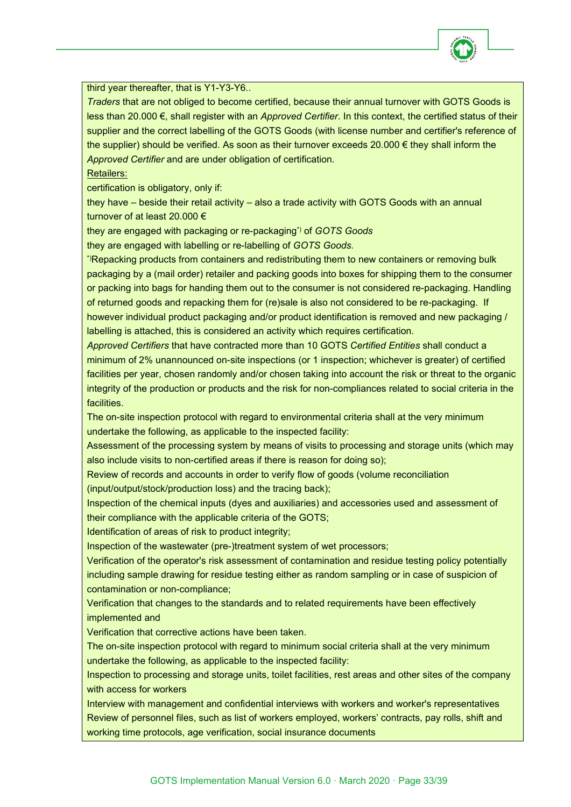

#### third year thereafter, that is Y1-Y3-Y6..

*Traders* that are not obliged to become certified, because their annual turnover with GOTS Goods is less than 20.000 €, shall register with an *Approved Certifier*. In this context, the certified status of their supplier and the correct labelling of the GOTS Goods (with license number and certifier's reference of the supplier) should be verified. As soon as their turnover exceeds 20.000 € they shall inform the *Approved Certifier* and are under obligation of certification.

#### Retailers:

certification is obligatory, only if:

they have – beside their retail activity – also a trade activity with GOTS Goods with an annual turnover of at least 20.000 €

they are engaged with packaging or re-packaging\*) of *GOTS Goods*

they are engaged with labelling or re-labelling of *GOTS Goods.*

\*)Repacking products from containers and redistributing them to new containers or removing bulk packaging by a (mail order) retailer and packing goods into boxes for shipping them to the consumer or packing into bags for handing them out to the consumer is not considered re-packaging. Handling of returned goods and repacking them for (re)sale is also not considered to be re-packaging. If however individual product packaging and/or product identification is removed and new packaging / labelling is attached, this is considered an activity which requires certification.

*Approved Certifiers* that have contracted more than 10 GOTS *Certified Entities* shall conduct a minimum of 2% unannounced on-site inspections (or 1 inspection; whichever is greater) of certified facilities per year, chosen randomly and/or chosen taking into account the risk or threat to the organic integrity of the production or products and the risk for non-compliances related to social criteria in the facilities.

The on-site inspection protocol with regard to environmental criteria shall at the very minimum undertake the following, as applicable to the inspected facility:

Assessment of the processing system by means of visits to processing and storage units (which may also include visits to non-certified areas if there is reason for doing so);

Review of records and accounts in order to verify flow of goods (volume reconciliation

(input/output/stock/production loss) and the tracing back);

Inspection of the chemical inputs (dyes and auxiliaries) and accessories used and assessment of their compliance with the applicable criteria of the GOTS;

Identification of areas of risk to product integrity;

Inspection of the wastewater (pre-)treatment system of wet processors;

Verification of the operator's risk assessment of contamination and residue testing policy potentially including sample drawing for residue testing either as random sampling or in case of suspicion of contamination or non-compliance;

Verification that changes to the standards and to related requirements have been effectively implemented and

Verification that corrective actions have been taken.

The on-site inspection protocol with regard to minimum social criteria shall at the very minimum undertake the following, as applicable to the inspected facility:

Inspection to processing and storage units, toilet facilities, rest areas and other sites of the company with access for workers

Interview with management and confidential interviews with workers and worker's representatives Review of personnel files, such as list of workers employed, workers' contracts, pay rolls, shift and working time protocols, age verification, social insurance documents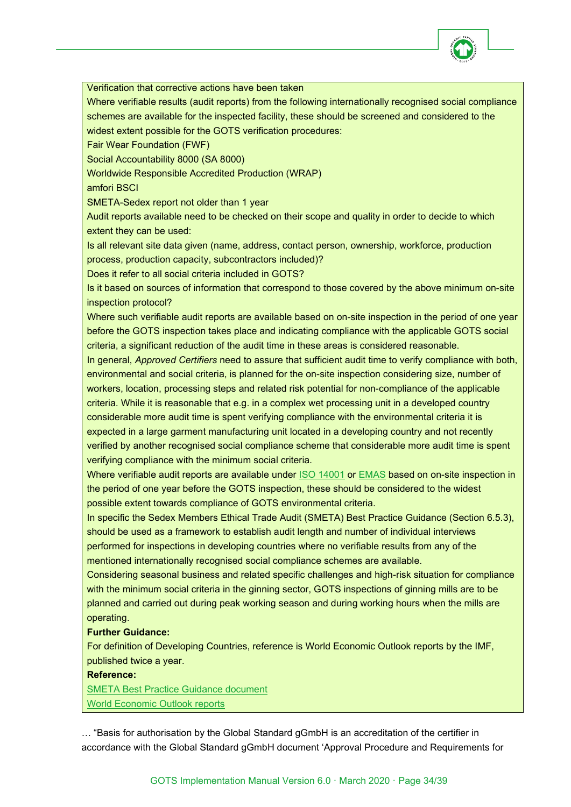

Verification that corrective actions have been taken

Where verifiable results (audit reports) from the following internationally recognised social compliance schemes are available for the inspected facility, these should be screened and considered to the widest extent possible for the GOTS verification procedures:

Fair Wear Foundation (FWF)

Social Accountability 8000 (SA 8000)

Worldwide Responsible Accredited Production (WRAP)

amfori BSCI

SMETA-Sedex report not older than 1 year

Audit reports available need to be checked on their scope and quality in order to decide to which extent they can be used:

Is all relevant site data given (name, address, contact person, ownership, workforce, production process, production capacity, subcontractors included)?

Does it refer to all social criteria included in GOTS?

Is it based on sources of information that correspond to those covered by the above minimum on-site inspection protocol?

Where such verifiable audit reports are available based on on-site inspection in the period of one year before the GOTS inspection takes place and indicating compliance with the applicable GOTS social criteria, a significant reduction of the audit time in these areas is considered reasonable.

In general, *Approved Certifiers* need to assure that sufficient audit time to verify compliance with both, environmental and social criteria, is planned for the on-site inspection considering size, number of workers, location, processing steps and related risk potential for non-compliance of the applicable criteria. While it is reasonable that e.g. in a complex wet processing unit in a developed country considerable more audit time is spent verifying compliance with the environmental criteria it is expected in a large garment manufacturing unit located in a developing country and not recently verified by another recognised social compliance scheme that considerable more audit time is spent verifying compliance with the minimum social criteria.

Where verifiable audit reports are available under [ISO 14001](https://www.iso.org/standard/60857.html) or [EMAS](https://ec.europa.eu/environment/emas/index_en.htm) based on on-site inspection in the period of one year before the GOTS inspection, these should be considered to the widest possible extent towards compliance of GOTS environmental criteria.

In specific the Sedex Members Ethical Trade Audit (SMETA) Best Practice Guidance (Section 6.5.3), should be used as a framework to establish audit length and number of individual interviews performed for inspections in developing countries where no verifiable results from any of the mentioned internationally recognised social compliance schemes are available.

Considering seasonal business and related specific challenges and high-risk situation for compliance with the minimum social criteria in the ginning sector, GOTS inspections of ginning mills are to be planned and carried out during peak working season and during working hours when the mills are operating.

#### **Further Guidance:**

For definition of Developing Countries, reference is World Economic Outlook reports by the IMF, published twice a year.

**Reference:**

[SMETA Best Practice Guidance document](https://cdn.sedexglobal.com/wp-content/uploads/2017/04/Smeta-6.0-BPG.pdf) [World Economic Outlook reports](https://www.imf.org/en/Publications/WEO)

… "Basis for authorisation by the Global Standard gGmbH is an accreditation of the certifier in accordance with the Global Standard gGmbH document 'Approval Procedure and Requirements for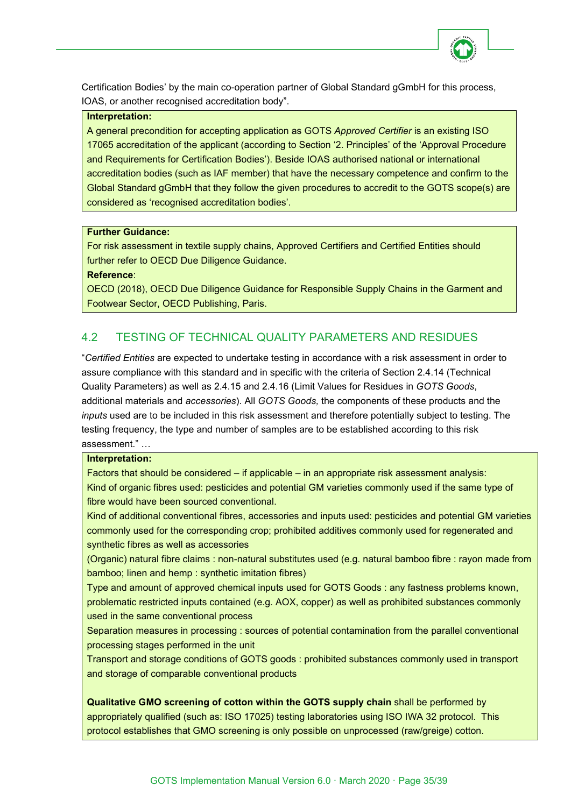

Certification Bodies' by the main co-operation partner of Global Standard gGmbH for this process, IOAS, or another recognised accreditation body".

#### **Interpretation:**

A general precondition for accepting application as GOTS *Approved Certifier* is an existing ISO 17065 accreditation of the applicant (according to Section '2. Principles' of the 'Approval Procedure and Requirements for Certification Bodies'). Beside IOAS authorised national or international accreditation bodies (such as IAF member) that have the necessary competence and confirm to the Global Standard gGmbH that they follow the given procedures to accredit to the GOTS scope(s) are considered as 'recognised accreditation bodies'.

#### **Further Guidance:**

For risk assessment in textile supply chains, Approved Certifiers and Certified Entities should further refer to OECD Due Diligence Guidance.

**Reference**:

OECD (2018), OECD Due Diligence Guidance for Responsible Supply Chains in the Garment and Footwear Sector, OECD Publishing, Paris.

# <span id="page-34-0"></span>4.2 TESTING OF TECHNICAL QUALITY PARAMETERS AND RESIDUES

"*Certified Entities* are expected to undertake testing in accordance with a risk assessment in order to assure compliance with this standard and in specific with the criteria of Section 2.4.14 (Technical Quality Parameters) as well as 2.4.15 and 2.4.16 (Limit Values for Residues in *GOTS Goods*, additional materials and *accessories*). All *GOTS Goods,* the components of these products and the *inputs* used are to be included in this risk assessment and therefore potentially subject to testing. The testing frequency, the type and number of samples are to be established according to this risk assessment." …

#### **Interpretation:**

Factors that should be considered – if applicable – in an appropriate risk assessment analysis: Kind of organic fibres used: pesticides and potential GM varieties commonly used if the same type of fibre would have been sourced conventional.

Kind of additional conventional fibres, accessories and inputs used: pesticides and potential GM varieties commonly used for the corresponding crop; prohibited additives commonly used for regenerated and synthetic fibres as well as accessories

(Organic) natural fibre claims : non-natural substitutes used (e.g. natural bamboo fibre : rayon made from bamboo; linen and hemp : synthetic imitation fibres)

Type and amount of approved chemical inputs used for GOTS Goods : any fastness problems known, problematic restricted inputs contained (e.g. AOX, copper) as well as prohibited substances commonly used in the same conventional process

Separation measures in processing : sources of potential contamination from the parallel conventional processing stages performed in the unit

Transport and storage conditions of GOTS goods : prohibited substances commonly used in transport and storage of comparable conventional products

**Qualitative GMO screening of cotton within the GOTS supply chain** shall be performed by appropriately qualified (such as: ISO 17025) testing laboratories using ISO IWA 32 protocol. This protocol establishes that GMO screening is only possible on unprocessed (raw/greige) cotton.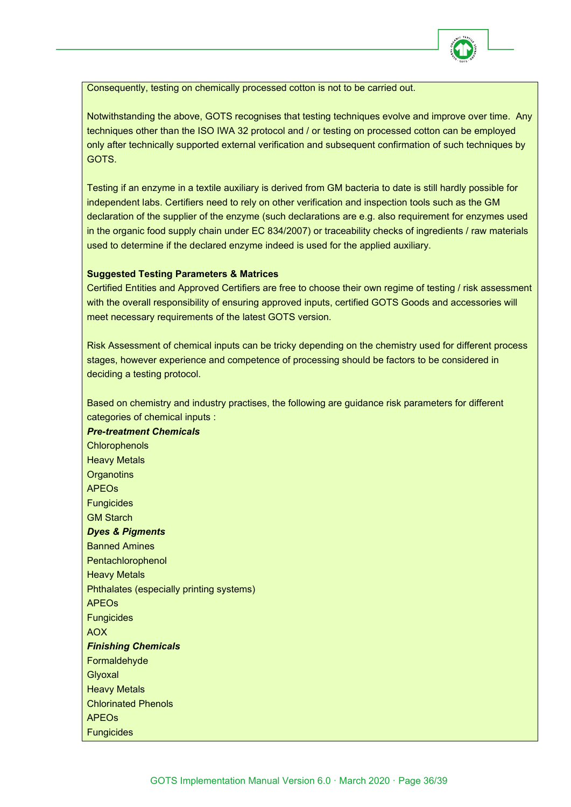

Consequently, testing on chemically processed cotton is not to be carried out.

Notwithstanding the above, GOTS recognises that testing techniques evolve and improve over time. Any techniques other than the ISO IWA 32 protocol and / or testing on processed cotton can be employed only after technically supported external verification and subsequent confirmation of such techniques by GOTS.

Testing if an enzyme in a textile auxiliary is derived from GM bacteria to date is still hardly possible for independent labs. Certifiers need to rely on other verification and inspection tools such as the GM declaration of the supplier of the enzyme (such declarations are e.g. also requirement for enzymes used in the organic food supply chain under EC 834/2007) or traceability checks of ingredients / raw materials used to determine if the declared enzyme indeed is used for the applied auxiliary.

#### **Suggested Testing Parameters & Matrices**

Certified Entities and Approved Certifiers are free to choose their own regime of testing / risk assessment with the overall responsibility of ensuring approved inputs, certified GOTS Goods and accessories will meet necessary requirements of the latest GOTS version.

Risk Assessment of chemical inputs can be tricky depending on the chemistry used for different process stages, however experience and competence of processing should be factors to be considered in deciding a testing protocol.

Based on chemistry and industry practises, the following are guidance risk parameters for different categories of chemical inputs :

*Pre-treatment Chemicals* **Chlorophenols** Heavy Metals **Organotins** APEOs **Fungicides** GM Starch *Dyes & Pigments* Banned Amines **Pentachlorophenol** Heavy Metals Phthalates (especially printing systems) APEOs **Fungicides** AOX *Finishing Chemicals* Formaldehyde Glyoxal Heavy Metals Chlorinated Phenols APEOs **Fungicides**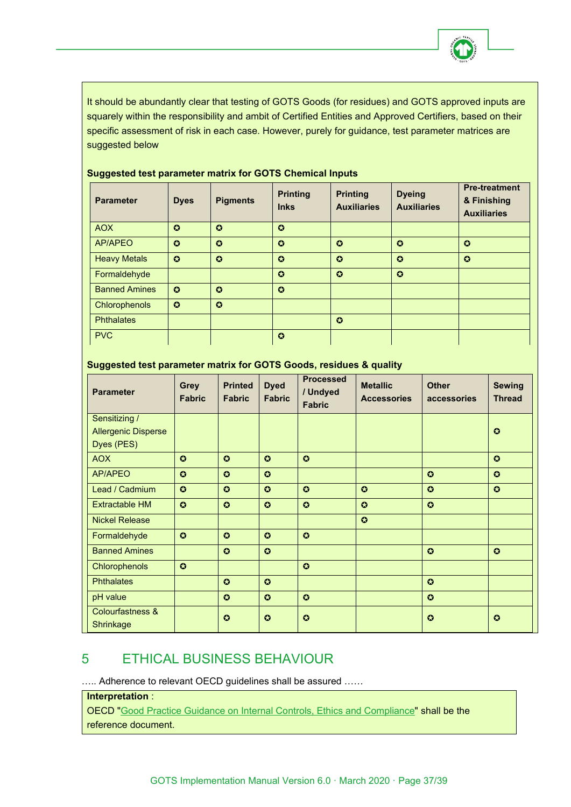

It should be abundantly clear that testing of GOTS Goods (for residues) and GOTS approved inputs are squarely within the responsibility and ambit of Certified Entities and Approved Certifiers, based on their specific assessment of risk in each case. However, purely for guidance, test parameter matrices are suggested below

| <b>Parameter</b>     | <b>Dyes</b>           | <b>Pigments</b>       | <b>Printing</b><br><b>Inks</b> | <b>Printing</b><br><b>Auxiliaries</b> | <b>Dyeing</b><br><b>Auxiliaries</b> | <b>Pre-treatment</b><br>& Finishing<br><b>Auxiliaries</b> |
|----------------------|-----------------------|-----------------------|--------------------------------|---------------------------------------|-------------------------------------|-----------------------------------------------------------|
| <b>AOX</b>           | $\bullet$             | $\boldsymbol{\Omega}$ | $\Omega$                       |                                       |                                     |                                                           |
| <b>AP/APEO</b>       | $\boldsymbol{\Omega}$ | $\boldsymbol{\Omega}$ | $\boldsymbol{\Omega}$          | $\Omega$                              | $\boldsymbol{\Omega}$               | $\bullet$                                                 |
| <b>Heavy Metals</b>  | $\boldsymbol{\Omega}$ | $\bullet$             | $\bullet$                      | $\bullet$                             | $\bullet$                           | $\bullet$                                                 |
| Formaldehyde         |                       |                       | $\boldsymbol{\Omega}$          | $\bullet$                             | $\bullet$                           |                                                           |
| <b>Banned Amines</b> | $\boldsymbol{\Omega}$ | $\boldsymbol{\Omega}$ | $\boldsymbol{\Omega}$          |                                       |                                     |                                                           |
| Chlorophenols        | $\boldsymbol{\Omega}$ | $\boldsymbol{\Omega}$ |                                |                                       |                                     |                                                           |
| <b>Phthalates</b>    |                       |                       |                                | $\Omega$                              |                                     |                                                           |
| <b>PVC</b>           |                       |                       | $\boldsymbol{\Omega}$          |                                       |                                     |                                                           |

#### **Suggested test parameter matrix for GOTS Chemical Inputs**

# **Suggested test parameter matrix for GOTS Goods, residues & quality**

| <b>Parameter</b>                         | <b>Grey</b><br><b>Fabric</b> | <b>Printed</b><br><b>Fabric</b> | <b>Dyed</b><br><b>Fabric</b> | <b>Processed</b><br>/ Undyed<br><b>Fabric</b> | <b>Metallic</b><br><b>Accessories</b> | <b>Other</b><br>accessories | <b>Sewing</b><br><b>Thread</b> |
|------------------------------------------|------------------------------|---------------------------------|------------------------------|-----------------------------------------------|---------------------------------------|-----------------------------|--------------------------------|
| Sensitizing /                            |                              |                                 |                              |                                               |                                       |                             |                                |
| <b>Allergenic Disperse</b>               |                              |                                 |                              |                                               |                                       |                             | $\bullet$                      |
| Dyes (PES)                               |                              |                                 |                              |                                               |                                       |                             |                                |
| <b>AOX</b>                               | $\Omega$                     | $\bullet$                       | $\boldsymbol{\Omega}$        | $\bullet$                                     |                                       |                             | $\bullet$                      |
| <b>AP/APEO</b>                           | $\odot$                      | $\Omega$                        | $\boldsymbol{\Omega}$        |                                               |                                       | $\bullet$                   | $\bullet$                      |
| Lead / Cadmium                           | $\Omega$                     | $\Omega$                        | $\boldsymbol{\Omega}$        | $\bullet$                                     | $\bullet$                             | $\bullet$                   | $\bullet$                      |
| <b>Extractable HM</b>                    | $\bullet$                    | $\bullet$                       | $\bullet$                    | $\bullet$                                     | $\bullet$                             | $\bullet$                   |                                |
| <b>Nickel Release</b>                    |                              |                                 |                              |                                               | $\bullet$                             |                             |                                |
| Formaldehyde                             | $\bullet$                    | $\Omega$                        | $\boldsymbol{\Omega}$        | $\bullet$                                     |                                       |                             |                                |
| <b>Banned Amines</b>                     |                              | $\bullet$                       | $\boldsymbol{\Omega}$        |                                               |                                       | $\bullet$                   | $\bullet$                      |
| Chlorophenols                            | $\bullet$                    |                                 |                              | $\bullet$                                     |                                       |                             |                                |
| <b>Phthalates</b>                        |                              | $\bullet$                       | $\bullet$                    |                                               |                                       | $\bullet$                   |                                |
| pH value                                 |                              | $\bullet$                       | $\bullet$                    | $\bullet$                                     |                                       | $\bullet$                   |                                |
| <b>Colourfastness &amp;</b><br>Shrinkage |                              | $\bullet$                       | $\bullet$                    | $\bullet$                                     |                                       | $\bullet$                   | $\bullet$                      |

# <span id="page-36-0"></span>5 ETHICAL BUSINESS BEHAVIOUR

….. Adherence to relevant OECD guidelines shall be assured ……

#### **Interpretation** :

OECD ["Good Practice Guidance on Internal Controls, Ethics and Compliance"](https://www.oecd.org/daf/anti-bribery/44884389.pdf) shall be the reference document.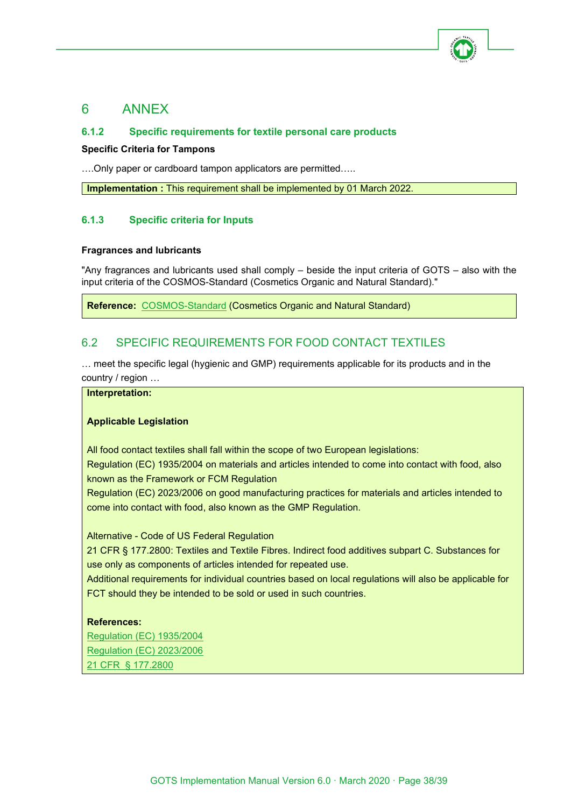

# <span id="page-37-0"></span>6 ANNEX

# <span id="page-37-1"></span>**6.1.2 Specific requirements for textile personal care products**

#### **Specific Criteria for Tampons**

….Only paper or cardboard tampon applicators are permitted…..

**Implementation** : This requirement shall be implemented by 01 March 2022.

# <span id="page-37-2"></span>**6.1.3 Specific criteria for Inputs**

#### **Fragrances and lubricants**

"Any fragrances and lubricants used shall comply – beside the input criteria of GOTS – also with the input criteria of the COSMOS-Standard (Cosmetics Organic and Natural Standard)."

**Reference:** [COSMOS-Standard](http://www.cosmos-standard.org/) (Cosmetics Organic and Natural Standard)

# <span id="page-37-3"></span>6.2 SPECIFIC REQUIREMENTS FOR FOOD CONTACT TEXTILES

… meet the specific legal (hygienic and GMP) requirements applicable for its products and in the country / region …

# **Interpretation:**

#### **Applicable Legislation**

All food contact textiles shall fall within the scope of two European legislations:

Regulation (EC) 1935/2004 on materials and articles intended to come into contact with food, also known as the Framework or FCM Regulation

Regulation (EC) 2023/2006 on good manufacturing practices for materials and articles intended to come into contact with food, also known as the GMP Regulation.

Alternative - Code of US Federal Regulation

21 CFR § 177.2800: Textiles and Textile Fibres. Indirect food additives subpart C. Substances for use only as components of articles intended for repeated use.

Additional requirements for individual countries based on local regulations will also be applicable for FCT should they be intended to be sold or used in such countries.

#### **References:**

[Regulation \(EC\) 1935/2004](https://eur-lex.europa.eu/legal-content/EN/TXT/PDF/?uri=CELEX:32004R1935&from=EN)  [Regulation \(EC\) 2023/2006](https://eur-lex.europa.eu/legal-content/EN/TXT/PDF/?uri=CELEX:32006R2023&from=EN) [21 CFR § 177.2800](https://www.govinfo.gov/content/pkg/CFR-2010-title21-vol3/pdf/CFR-2010-title21-vol3-sec177-2800.pdf)